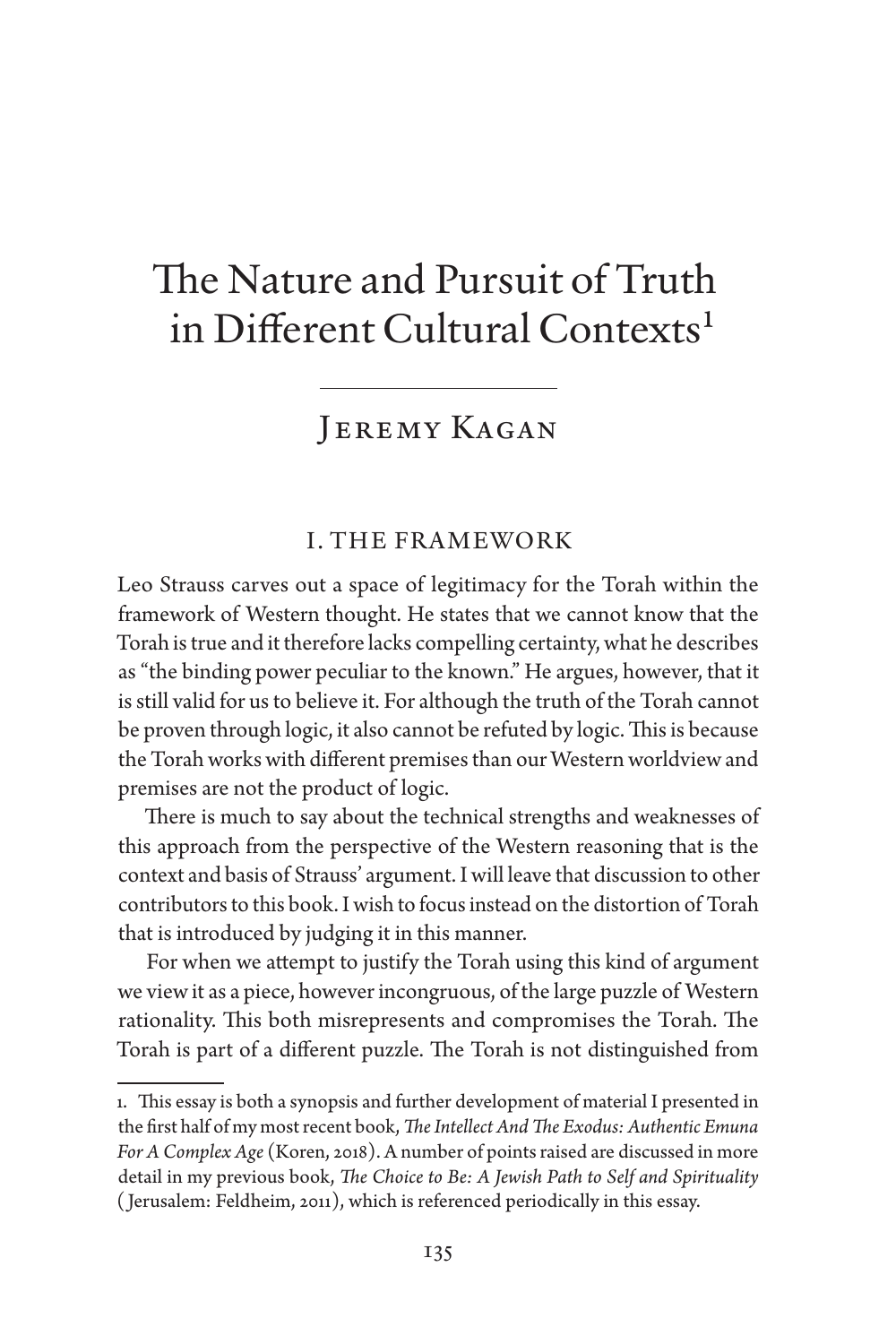# The Nature and Pursuit of Truth in Different Cultural Contexts<sup>1</sup>

# JEREMY KAGAN

# I. THE FRAMEWORK

Leo Strauss carves out a space of legitimacy for the Torah within the framework of Western thought. He states that we cannot know that the Torah is true and it therefore lacks compelling certainty, what he describes as "the binding power peculiar to the known." He argues, however, that it is still valid for us to believe it. For although the truth of the Torah cannot be proven through logic, it also cannot be refuted by logic. This is because the Torah works with different premises than our Western worldview and premises are not the product of logic.

There is much to say about the technical strengths and weaknesses of this approach from the perspective of the Western reasoning that is the context and basis of Strauss' argument. I will leave that discussion to other contributors to this book. I wish to focus instead on the distortion of Torah that is introduced by judging it in this manner.

For when we attempt to justify the Torah using this kind of argument we view it as a piece, however incongruous, of the large puzzle of Western rationality. This both misrepresents and compromises the Torah. The Torah is part of a different puzzle. The Torah is not distinguished from

<sup>1.</sup> This essay is both a synopsis and further development of material I presented in the first half of my most recent book, *The Intellect And The Exodus: Authentic Emuna For A Complex Age* (Koren, 2018). A number of points raised are discussed in more detail in my previous book, *The Choice to Be: A Jewish Path to Self and Spirituality* ( Jerusalem: Feldheim, 2011), which is referenced periodically in this essay.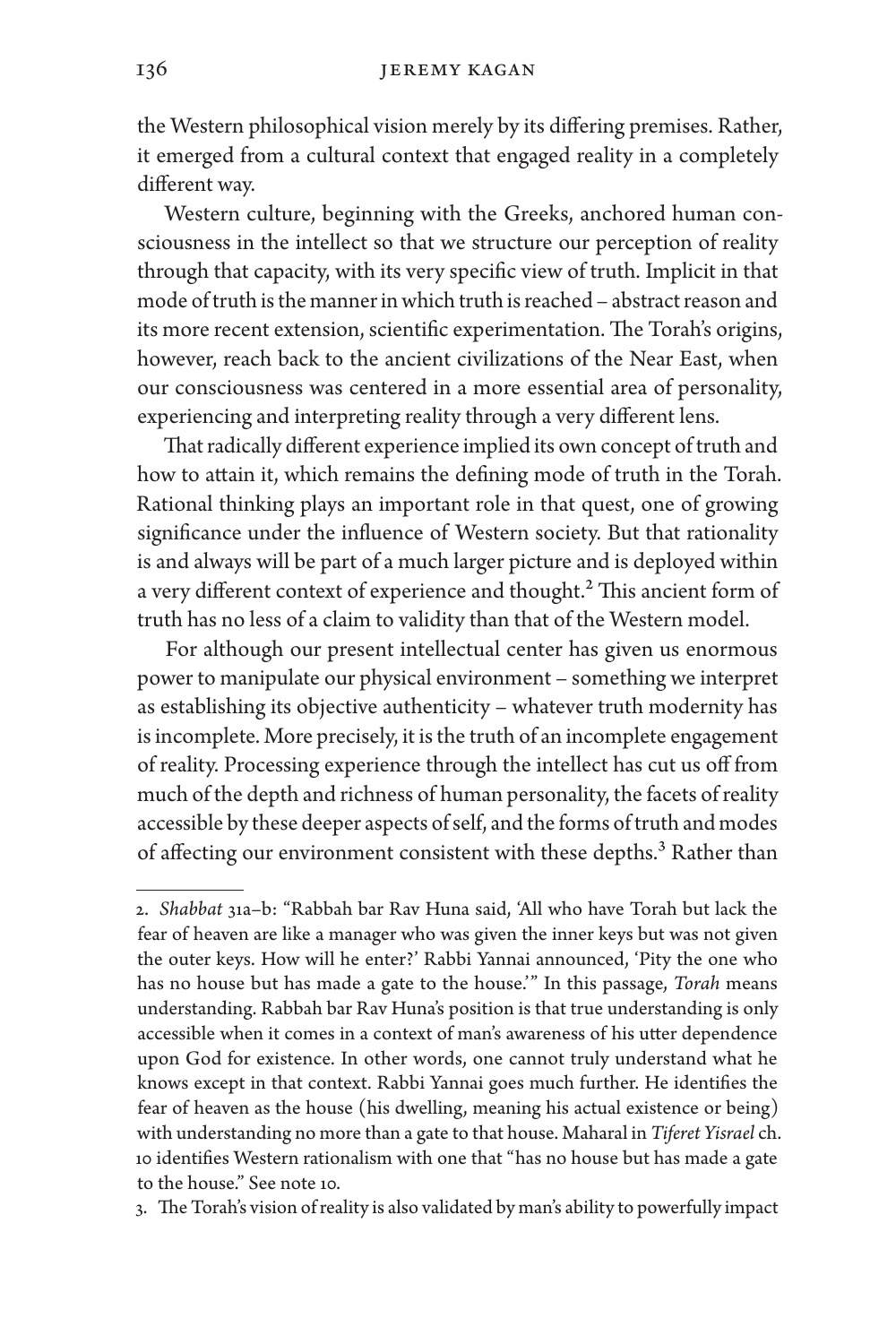the Western philosophical vision merely by its differing premises. Rather, it emerged from a cultural context that engaged reality in a completely different way.

Western culture, beginning with the Greeks, anchored human consciousness in the intellect so that we structure our perception of reality through that capacity, with its very specific view of truth. Implicit in that mode of truth is the manner in which truth is reached – abstract reason and its more recent extension, scientific experimentation. The Torah's origins, however, reach back to the ancient civilizations of the Near East, when our consciousness was centered in a more essential area of personality, experiencing and interpreting reality through a very different lens.

That radically different experience implied its own concept of truth and how to attain it, which remains the defining mode of truth in the Torah. Rational thinking plays an important role in that quest, one of growing significance under the influence of Western society. But that rationality is and always will be part of a much larger picture and is deployed within a very different context of experience and thought.<sup>2</sup> This ancient form of truth has no less of a claim to validity than that of the Western model.

For although our present intellectual center has given us enormous power to manipulate our physical environment – something we interpret as establishing its objective authenticity – whatever truth modernity has is incomplete. More precisely, it is the truth of an incomplete engagement of reality. Processing experience through the intellect has cut us off from much of the depth and richness of human personality, the facets of reality accessible by these deeper aspects of self, and the forms of truth and modes of affecting our environment consistent with these depths.<sup>3</sup> Rather than

3. The Torah's vision of reality is also validated by man's ability to powerfully impact

<sup>2.</sup> *Shabbat* 31a–b: "Rabbah bar Rav Huna said, 'All who have Torah but lack the fear of heaven are like a manager who was given the inner keys but was not given the outer keys. How will he enter?' Rabbi Yannai announced, 'Pity the one who has no house but has made a gate to the house.'" In this passage, *Torah* means understanding. Rabbah bar Rav Huna's position is that true understanding is only accessible when it comes in a context of man's awareness of his utter dependence upon God for existence. In other words, one cannot truly understand what he knows except in that context. Rabbi Yannai goes much further. He identifies the fear of heaven as the house (his dwelling, meaning his actual existence or being) with understanding no more than a gate to that house. Maharal in *Tiferet Yisrael* ch. 10 identifies Western rationalism with one that "has no house but has made a gate to the house." See note 10.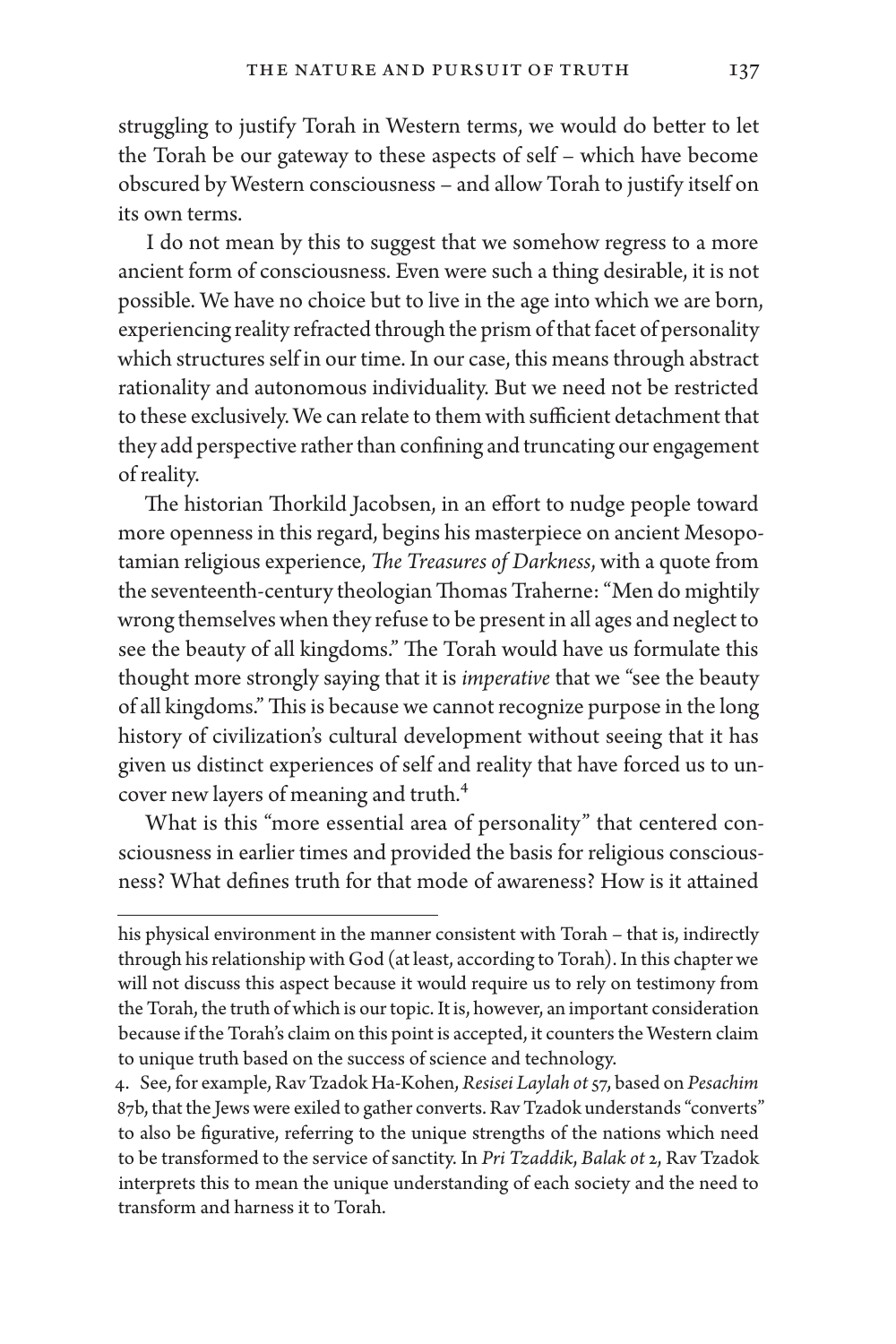struggling to justify Torah in Western terms, we would do better to let the Torah be our gateway to these aspects of self – which have become obscured by Western consciousness – and allow Torah to justify itself on its own terms.

I do not mean by this to suggest that we somehow regress to a more ancient form of consciousness. Even were such a thing desirable, it is not possible. We have no choice but to live in the age into which we are born, experiencing reality refracted through the prism of that facet of personality which structures self in our time. In our case, this means through abstract rationality and autonomous individuality. But we need not be restricted to these exclusively. We can relate to them with sufficient detachment that they add perspective rather than confining and truncating our engagement of reality.

The historian Thorkild Jacobsen, in an effort to nudge people toward more openness in this regard, begins his masterpiece on ancient Mesopotamian religious experience, *The Treasures of Darkness*, with a quote from the seventeenth-century theologian Thomas Traherne: "Men do mightily wrong themselves when they refuse to be present in all ages and neglect to see the beauty of all kingdoms." The Torah would have us formulate this thought more strongly saying that it is *imperative* that we "see the beauty of all kingdoms." This is because we cannot recognize purpose in the long history of civilization's cultural development without seeing that it has given us distinct experiences of self and reality that have forced us to uncover new layers of meaning and truth.4

What is this "more essential area of personality" that centered consciousness in earlier times and provided the basis for religious consciousness? What defines truth for that mode of awareness? How is it attained

his physical environment in the manner consistent with Torah – that is, indirectly through his relationship with God (at least, according to Torah). In this chapter we will not discuss this aspect because it would require us to rely on testimony from the Torah, the truth of which is our topic. It is, however, an important consideration because if the Torah's claim on this point is accepted, it counters the Western claim to unique truth based on the success of science and technology.

<sup>4.</sup> See, for example, Rav Tzadok Ha-Kohen, *Resisei Laylah ot* 57, based on *Pesachim* 87b, that the Jews were exiled to gather converts. Rav Tzadok understands "converts" to also be figurative, referring to the unique strengths of the nations which need to be transformed to the service of sanctity. In *Pri Tzaddik*, *Balak ot* 2, Rav Tzadok interprets this to mean the unique understanding of each society and the need to transform and harness it to Torah.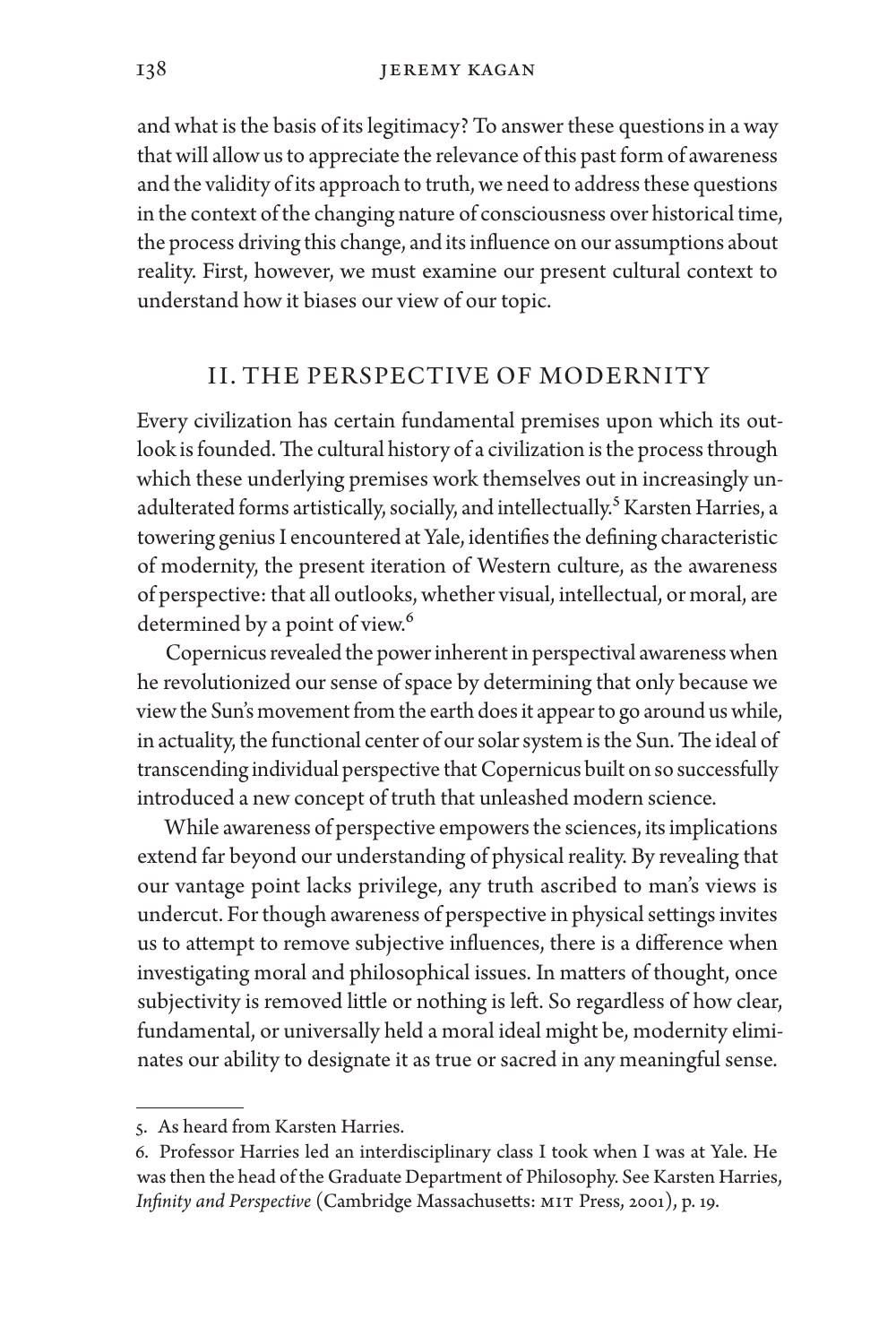and what is the basis of its legitimacy? To answer these questions in a way that will allow us to appreciate the relevance of this past form of awareness and the validity of its approach to truth, we need to address these questions in the context of the changing nature of consciousness over historical time, the process driving this change, and its influence on our assumptions about reality. First, however, we must examine our present cultural context to understand how it biases our view of our topic.

### II. THE PERSPECTIVE OF MODERNITY

Every civilization has certain fundamental premises upon which its outlook is founded. The cultural history of a civilization is the process through which these underlying premises work themselves out in increasingly unadulterated forms artistically, socially, and intellectually.<sup>5</sup> Karsten Harries, a towering genius I encountered at Yale, identifies the defining characteristic of modernity, the present iteration of Western culture, as the awareness of perspective: that all outlooks, whether visual, intellectual, or moral, are determined by a point of view.<sup>6</sup>

Copernicus revealed the power inherent in perspectival awareness when he revolutionized our sense of space by determining that only because we view the Sun's movement from the earth does it appear to go around us while, in actuality, the functional center of our solar system is the Sun. The ideal of transcending individual perspective that Copernicus built on so successfully introduced a new concept of truth that unleashed modern science.

While awareness of perspective empowers the sciences, its implications extend far beyond our understanding of physical reality. By revealing that our vantage point lacks privilege, any truth ascribed to man's views is undercut. For though awareness of perspective in physical settings invites us to attempt to remove subjective influences, there is a difference when investigating moral and philosophical issues. In matters of thought, once subjectivity is removed little or nothing is left. So regardless of how clear, fundamental, or universally held a moral ideal might be, modernity eliminates our ability to designate it as true or sacred in any meaningful sense.

<sup>5.</sup> As heard from Karsten Harries.

<sup>6.</sup> Professor Harries led an interdisciplinary class I took when I was at Yale. He was then the head of the Graduate Department of Philosophy. See Karsten Harries, *Infinity and Perspective* (Cambridge Massachusetts: MIT Press, 2001), p. 19.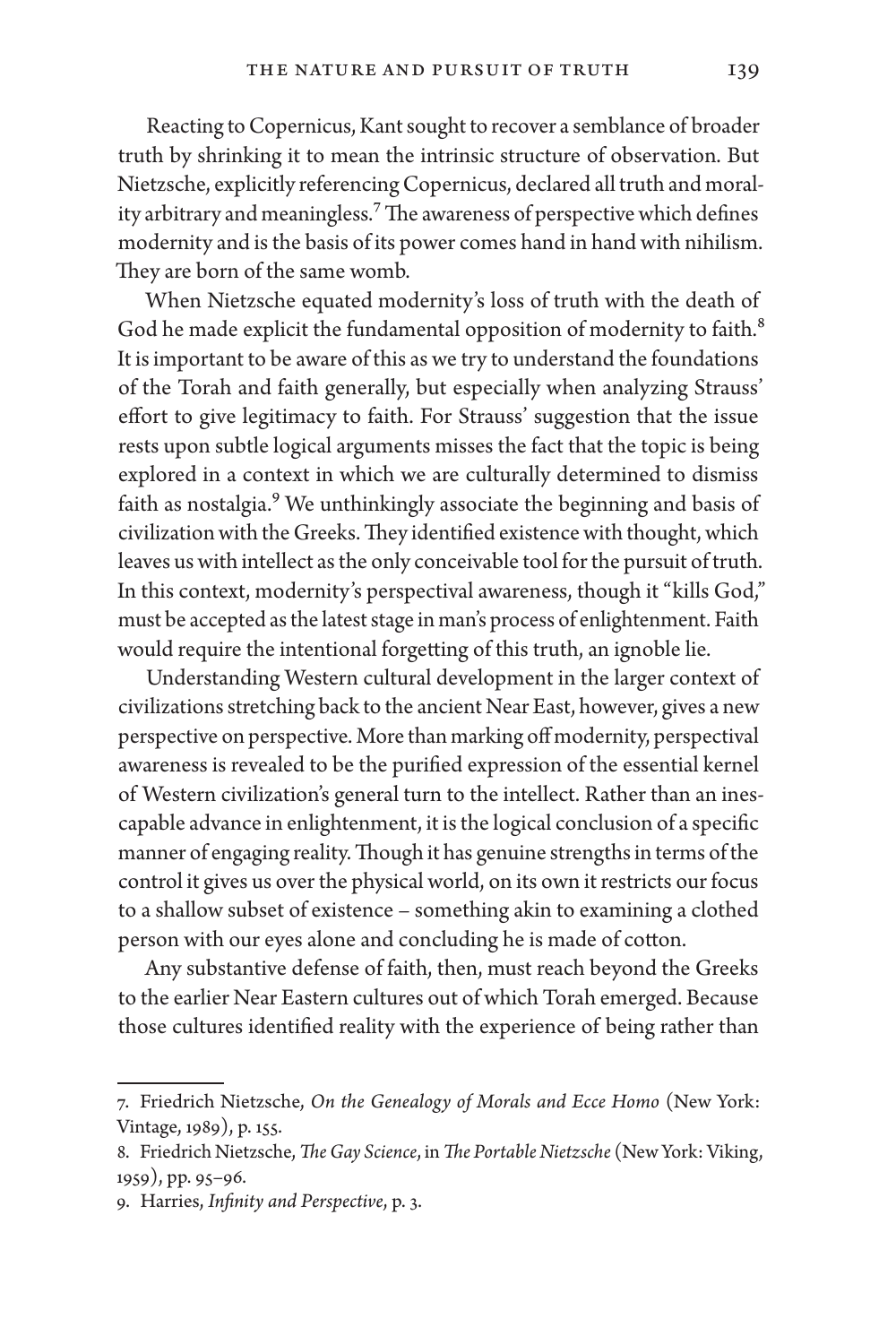Reacting to Copernicus, Kant sought to recover a semblance of broader truth by shrinking it to mean the intrinsic structure of observation. But Nietzsche, explicitly referencing Copernicus, declared all truth and morality arbitrary and meaningless.<sup>7</sup> The awareness of perspective which defines modernity and is the basis of its power comes hand in hand with nihilism. They are born of the same womb.

When Nietzsche equated modernity's loss of truth with the death of God he made explicit the fundamental opposition of modernity to faith.<sup>8</sup> It is important to be aware of this as we try to understand the foundations of the Torah and faith generally, but especially when analyzing Strauss' effort to give legitimacy to faith. For Strauss' suggestion that the issue rests upon subtle logical arguments misses the fact that the topic is being explored in a context in which we are culturally determined to dismiss faith as nostalgia.<sup>9</sup> We unthinkingly associate the beginning and basis of civilization with the Greeks. They identified existence with thought, which leaves us with intellect as the only conceivable tool for the pursuit of truth. In this context, modernity's perspectival awareness, though it "kills God," must be accepted as the latest stage in man's process of enlightenment. Faith would require the intentional forgetting of this truth, an ignoble lie.

Understanding Western cultural development in the larger context of civilizations stretching back to the ancient Near East, however, gives a new perspective on perspective. More than marking off modernity, perspectival awareness is revealed to be the purified expression of the essential kernel of Western civilization's general turn to the intellect. Rather than an inescapable advance in enlightenment, it is the logical conclusion of a specific manner of engaging reality. Though it has genuine strengths in terms of the control it gives us over the physical world, on its own it restricts our focus to a shallow subset of existence – something akin to examining a clothed person with our eyes alone and concluding he is made of cotton.

Any substantive defense of faith, then, must reach beyond the Greeks to the earlier Near Eastern cultures out of which Torah emerged. Because those cultures identified reality with the experience of being rather than

<sup>7.</sup> Friedrich Nietzsche, *On the Genealogy of Morals and Ecce Homo* (New York: Vintage, 1989), p. 155.

<sup>8.</sup> Friedrich Nietzsche, *The Gay Science*, in *The Portable Nietzsche* (New York: Viking, 1959), pp. 95–96.

<sup>9.</sup> Harries, *Infinity and Perspective*, p. 3.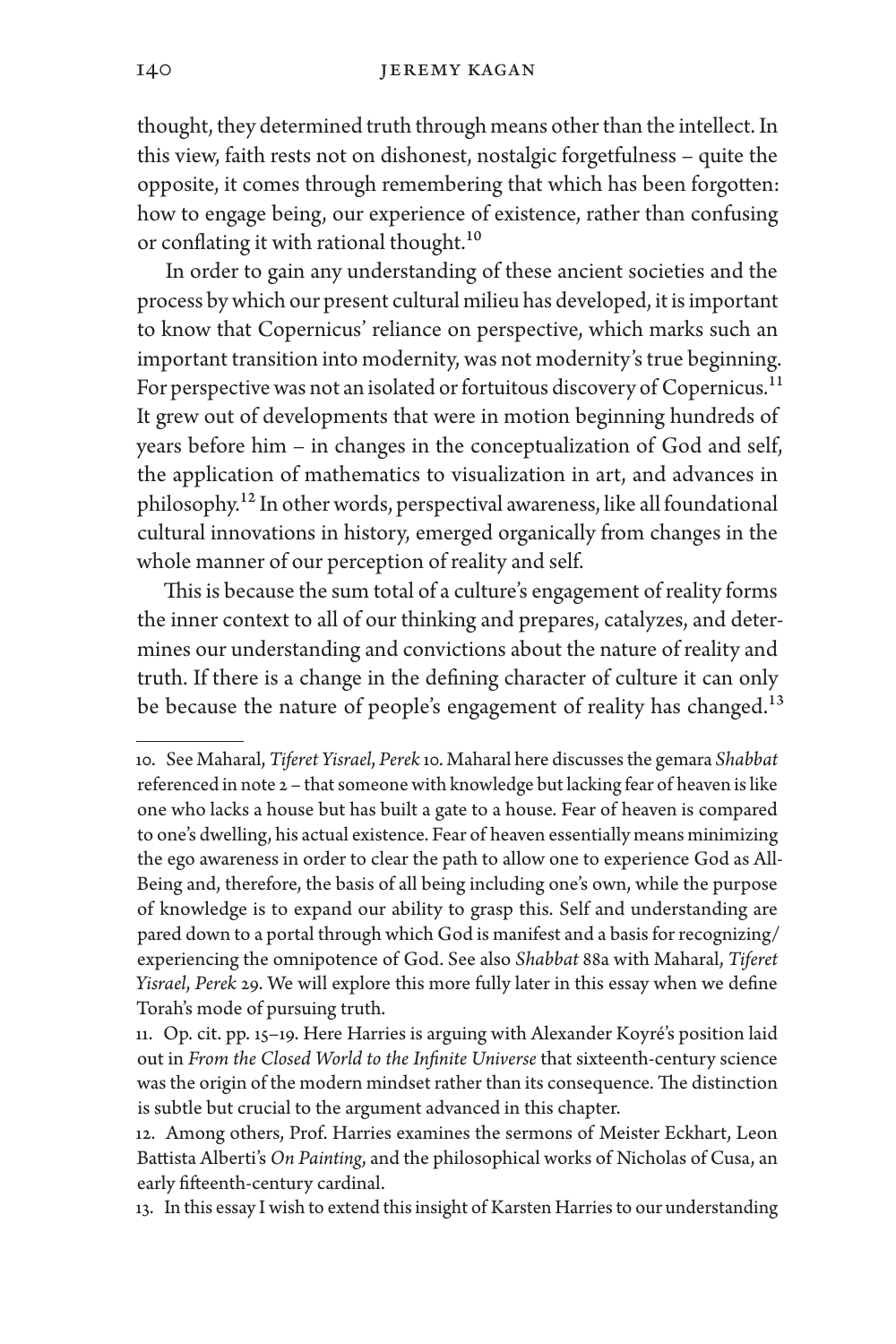thought, they determined truth through means other than the intellect. In this view, faith rests not on dishonest, nostalgic forgetfulness – quite the opposite, it comes through remembering that which has been forgotten: how to engage being, our experience of existence, rather than confusing or conflating it with rational thought.<sup>10</sup>

In order to gain any understanding of these ancient societies and the process by which our present cultural milieu has developed, it is important to know that Copernicus' reliance on perspective, which marks such an important transition into modernity, was not modernity's true beginning. For perspective was not an isolated or fortuitous discovery of Copernicus.<sup>11</sup> It grew out of developments that were in motion beginning hundreds of years before him – in changes in the conceptualization of God and self, the application of mathematics to visualization in art, and advances in philosophy.12 In other words, perspectival awareness, like all foundational cultural innovations in history, emerged organically from changes in the whole manner of our perception of reality and self.

This is because the sum total of a culture's engagement of reality forms the inner context to all of our thinking and prepares, catalyzes, and determines our understanding and convictions about the nature of reality and truth. If there is a change in the defining character of culture it can only be because the nature of people's engagement of reality has changed.<sup>13</sup>

<sup>10.</sup> See Maharal, *Tiferet Yisrael*, *Perek* 10. Maharal here discusses the gemara *Shabbat* referenced in note 2 – that someone with knowledge but lacking fear of heaven is like one who lacks a house but has built a gate to a house. Fear of heaven is compared to one's dwelling, his actual existence. Fear of heaven essentially means minimizing the ego awareness in order to clear the path to allow one to experience God as All-Being and, therefore, the basis of all being including one's own, while the purpose of knowledge is to expand our ability to grasp this. Self and understanding are pared down to a portal through which God is manifest and a basis for recognizing/ experiencing the omnipotence of God. See also *Shabbat* 88a with Maharal, *Tiferet Yisrael*, *Perek* 29. We will explore this more fully later in this essay when we define Torah's mode of pursuing truth.

<sup>11.</sup> Op. cit. pp. 15–19. Here Harries is arguing with Alexander Koyré's position laid out in *From the Closed World to the Infinite Universe* that sixteenth-century science was the origin of the modern mindset rather than its consequence. The distinction is subtle but crucial to the argument advanced in this chapter.

<sup>12.</sup> Among others, Prof. Harries examines the sermons of Meister Eckhart, Leon Battista Alberti's *On Painting*, and the philosophical works of Nicholas of Cusa, an early fifteenth-century cardinal.

<sup>13.</sup> In this essay I wish to extend this insight of Karsten Harries to our understanding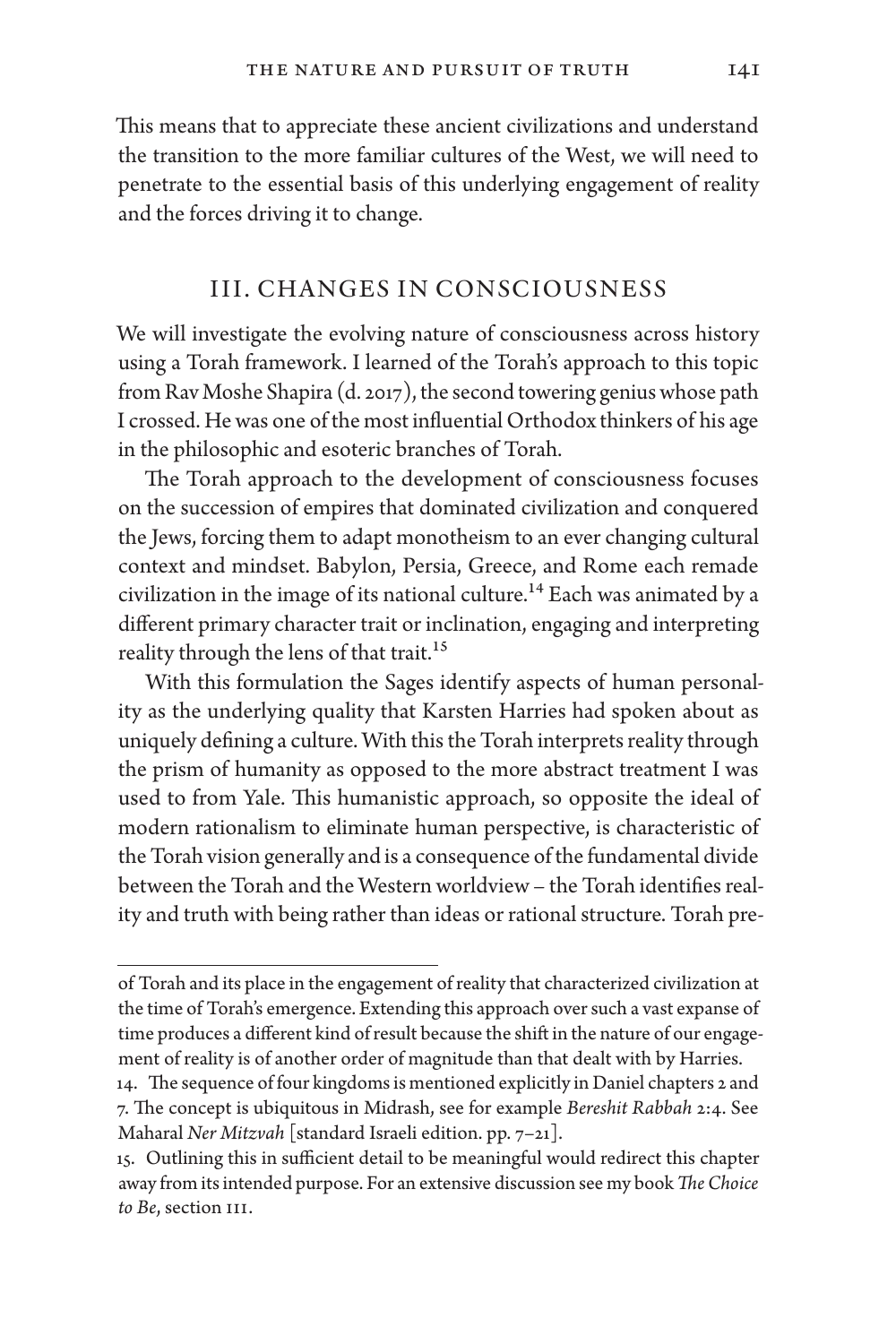This means that to appreciate these ancient civilizations and understand the transition to the more familiar cultures of the West, we will need to penetrate to the essential basis of this underlying engagement of reality and the forces driving it to change.

#### III. CHANGES IN CONSCIOUSNESS

We will investigate the evolving nature of consciousness across history using a Torah framework. I learned of the Torah's approach to this topic from Rav Moshe Shapira (d. 2017), the second towering genius whose path I crossed. He was one of the most influential Orthodox thinkers of his age in the philosophic and esoteric branches of Torah.

The Torah approach to the development of consciousness focuses on the succession of empires that dominated civilization and conquered the Jews, forcing them to adapt monotheism to an ever changing cultural context and mindset. Babylon, Persia, Greece, and Rome each remade civilization in the image of its national culture.<sup>14</sup> Each was animated by a different primary character trait or inclination, engaging and interpreting reality through the lens of that trait.<sup>15</sup>

With this formulation the Sages identify aspects of human personality as the underlying quality that Karsten Harries had spoken about as uniquely defining a culture. With this the Torah interprets reality through the prism of humanity as opposed to the more abstract treatment I was used to from Yale. This humanistic approach, so opposite the ideal of modern rationalism to eliminate human perspective, is characteristic of the Torah vision generally and is a consequence of the fundamental divide between the Torah and the Western worldview – the Torah identifies reality and truth with being rather than ideas or rational structure. Torah pre-

of Torah and its place in the engagement of reality that characterized civilization at the time of Torah's emergence. Extending this approach over such a vast expanse of time produces a different kind of result because the shift in the nature of our engagement of reality is of another order of magnitude than that dealt with by Harries.

<sup>14.</sup> The sequence of four kingdoms is mentioned explicitly in Daniel chapters 2 and 7. The concept is ubiquitous in Midrash, see for example *Bereshit Rabbah* 2:4. See Maharal *Ner Mitzvah* [standard Israeli edition. pp. 7–21].

<sup>15.</sup> Outlining this in sufficient detail to be meaningful would redirect this chapter away from its intended purpose. For an extensive discussion see my book *The Choice to Be*, section III.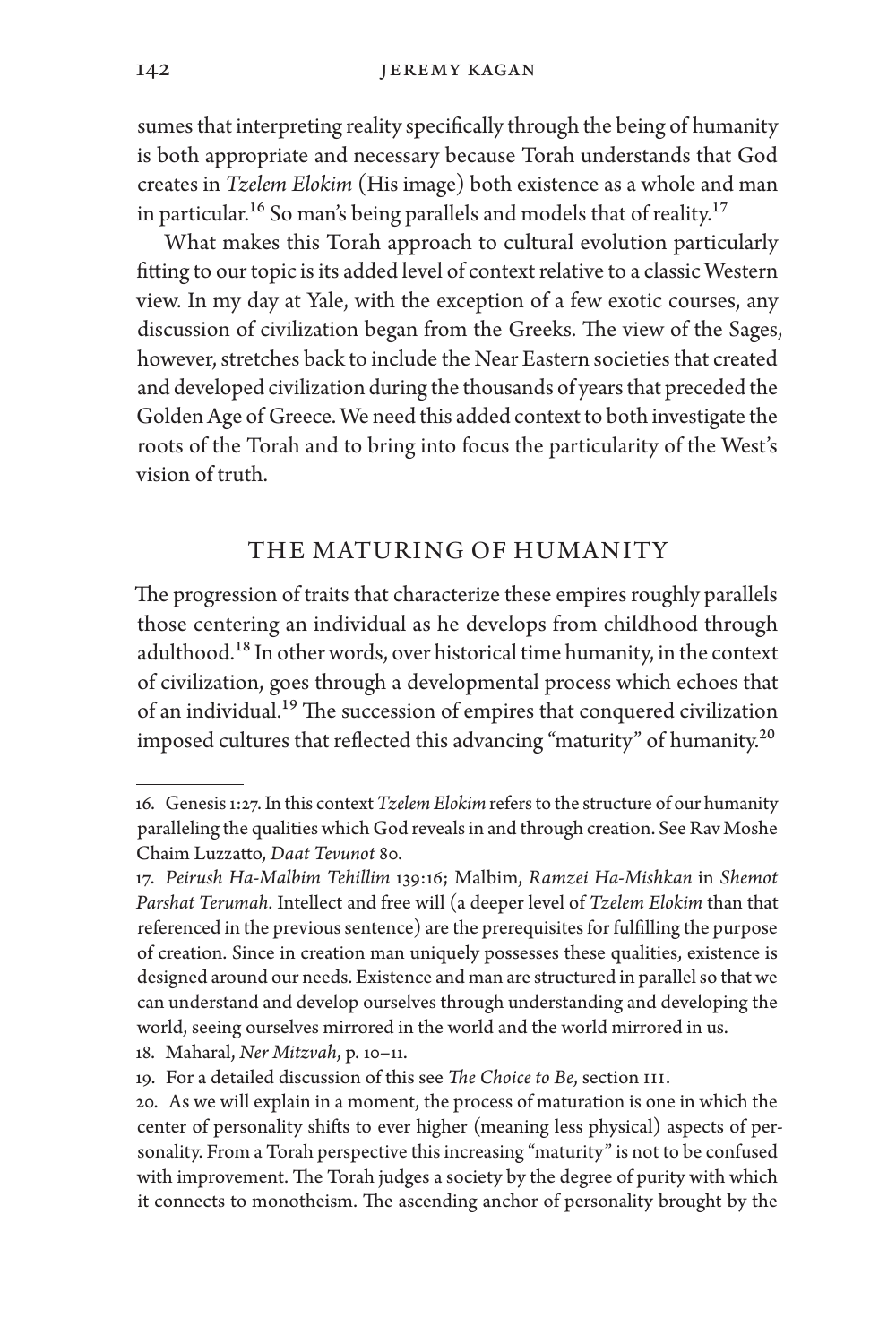sumes that interpreting reality specifically through the being of humanity is both appropriate and necessary because Torah understands that God creates in *Tzelem Elokim* (His image) both existence as a whole and man in particular.<sup>16</sup> So man's being parallels and models that of reality.<sup>17</sup>

What makes this Torah approach to cultural evolution particularly fitting to our topic is its added level of context relative to a classic Western view. In my day at Yale, with the exception of a few exotic courses, any discussion of civilization began from the Greeks. The view of the Sages, however, stretches back to include the Near Eastern societies that created and developed civilization during the thousands of years that preceded the Golden Age of Greece. We need this added context to both investigate the roots of the Torah and to bring into focus the particularity of the West's vision of truth.

# THE MATURING OF HUMANITY

The progression of traits that characterize these empires roughly parallels those centering an individual as he develops from childhood through adulthood.18 In other words, over historical time humanity, in the context of civilization, goes through a developmental process which echoes that of an individual.<sup>19</sup> The succession of empires that conquered civilization imposed cultures that reflected this advancing "maturity" of humanity.<sup>20</sup>

18. Maharal, *Ner Mitzvah*, p. 10–11.

<sup>16.</sup> Genesis 1:27. In this context *Tzelem Elokim* refers to the structure of our humanity paralleling the qualities which God reveals in and through creation. See Rav Moshe Chaim Luzzatto, *Daat Tevunot* 80.

<sup>17.</sup> *Peirush Ha-Malbim Tehillim* 139:16; Malbim, *Ramzei Ha-Mishkan* in *Shemot Parshat Terumah*. Intellect and free will (a deeper level of *Tzelem Elokim* than that referenced in the previous sentence) are the prerequisites for fulfilling the purpose of creation. Since in creation man uniquely possesses these qualities, existence is designed around our needs. Existence and man are structured in parallel so that we can understand and develop ourselves through understanding and developing the world, seeing ourselves mirrored in the world and the world mirrored in us.

<sup>19.</sup> For a detailed discussion of this see *The Choice to Be*, section III.

<sup>20.</sup> As we will explain in a moment, the process of maturation is one in which the center of personality shifts to ever higher (meaning less physical) aspects of personality. From a Torah perspective this increasing "maturity" is not to be confused with improvement. The Torah judges a society by the degree of purity with which it connects to monotheism. The ascending anchor of personality brought by the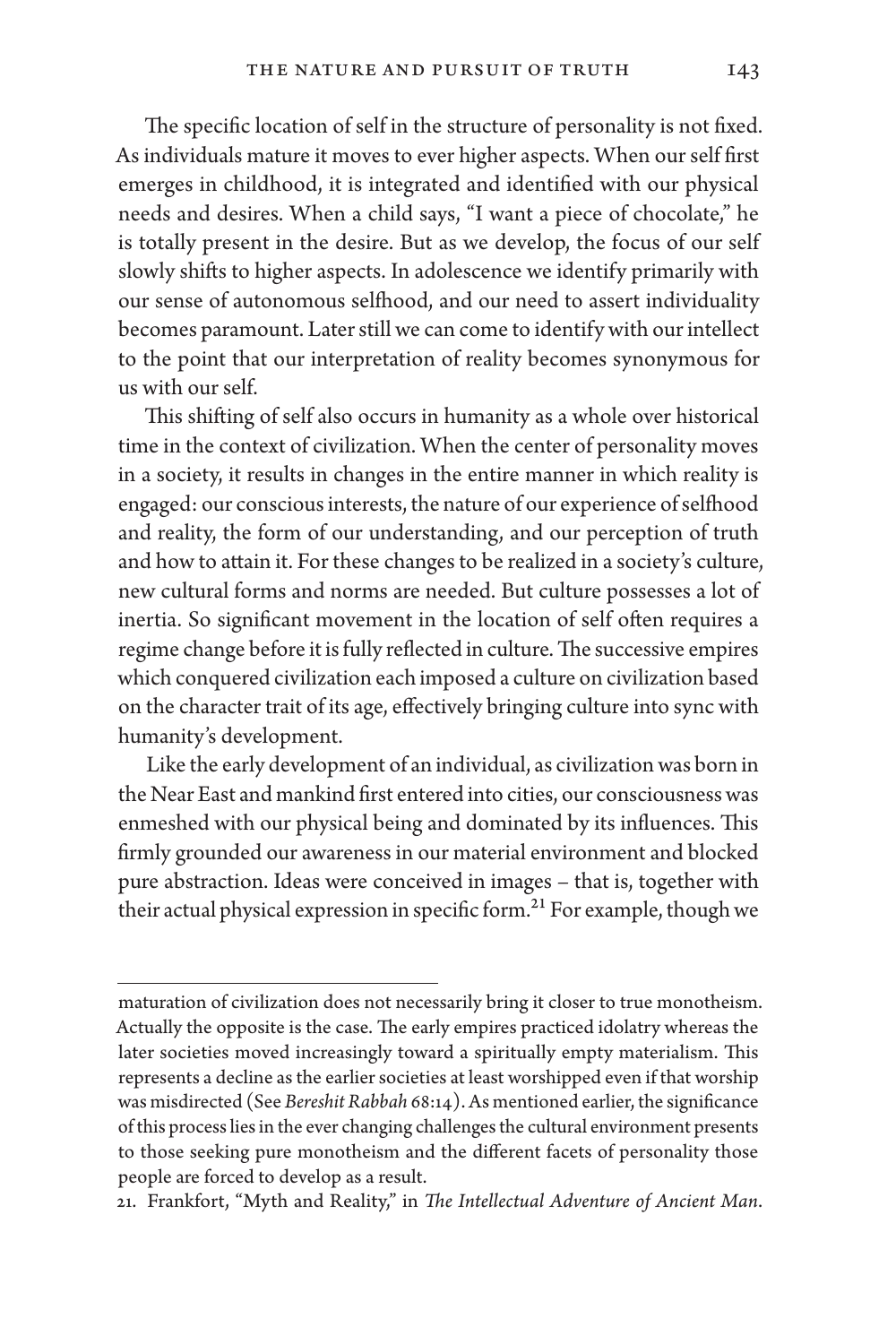The specific location of self in the structure of personality is not fixed. As individuals mature it moves to ever higher aspects. When our self first emerges in childhood, it is integrated and identified with our physical needs and desires. When a child says, "I want a piece of chocolate," he is totally present in the desire. But as we develop, the focus of our self slowly shifts to higher aspects. In adolescence we identify primarily with our sense of autonomous selfhood, and our need to assert individuality becomes paramount. Later still we can come to identify with our intellect to the point that our interpretation of reality becomes synonymous for us with our self.

This shifting of self also occurs in humanity as a whole over historical time in the context of civilization. When the center of personality moves in a society, it results in changes in the entire manner in which reality is engaged: our conscious interests, the nature of our experience of selfhood and reality, the form of our understanding, and our perception of truth and how to attain it. For these changes to be realized in a society's culture, new cultural forms and norms are needed. But culture possesses a lot of inertia. So significant movement in the location of self often requires a regime change before it is fully reflected in culture. The successive empires which conquered civilization each imposed a culture on civilization based on the character trait of its age, effectively bringing culture into sync with humanity's development.

Like the early development of an individual, as civilization was born in the Near East and mankind first entered into cities, our consciousness was enmeshed with our physical being and dominated by its influences. This firmly grounded our awareness in our material environment and blocked pure abstraction. Ideas were conceived in images – that is, together with their actual physical expression in specific form.<sup>21</sup> For example, though we

maturation of civilization does not necessarily bring it closer to true monotheism. Actually the opposite is the case. The early empires practiced idolatry whereas the later societies moved increasingly toward a spiritually empty materialism. This represents a decline as the earlier societies at least worshipped even if that worship was misdirected (See *Bereshit Rabbah* 68:14). As mentioned earlier, the significance of this process lies in the ever changing challenges the cultural environment presents to those seeking pure monotheism and the different facets of personality those people are forced to develop as a result.

<sup>21.</sup> Frankfort, "Myth and Reality," in *The Intellectual Adventure of Ancient Man*.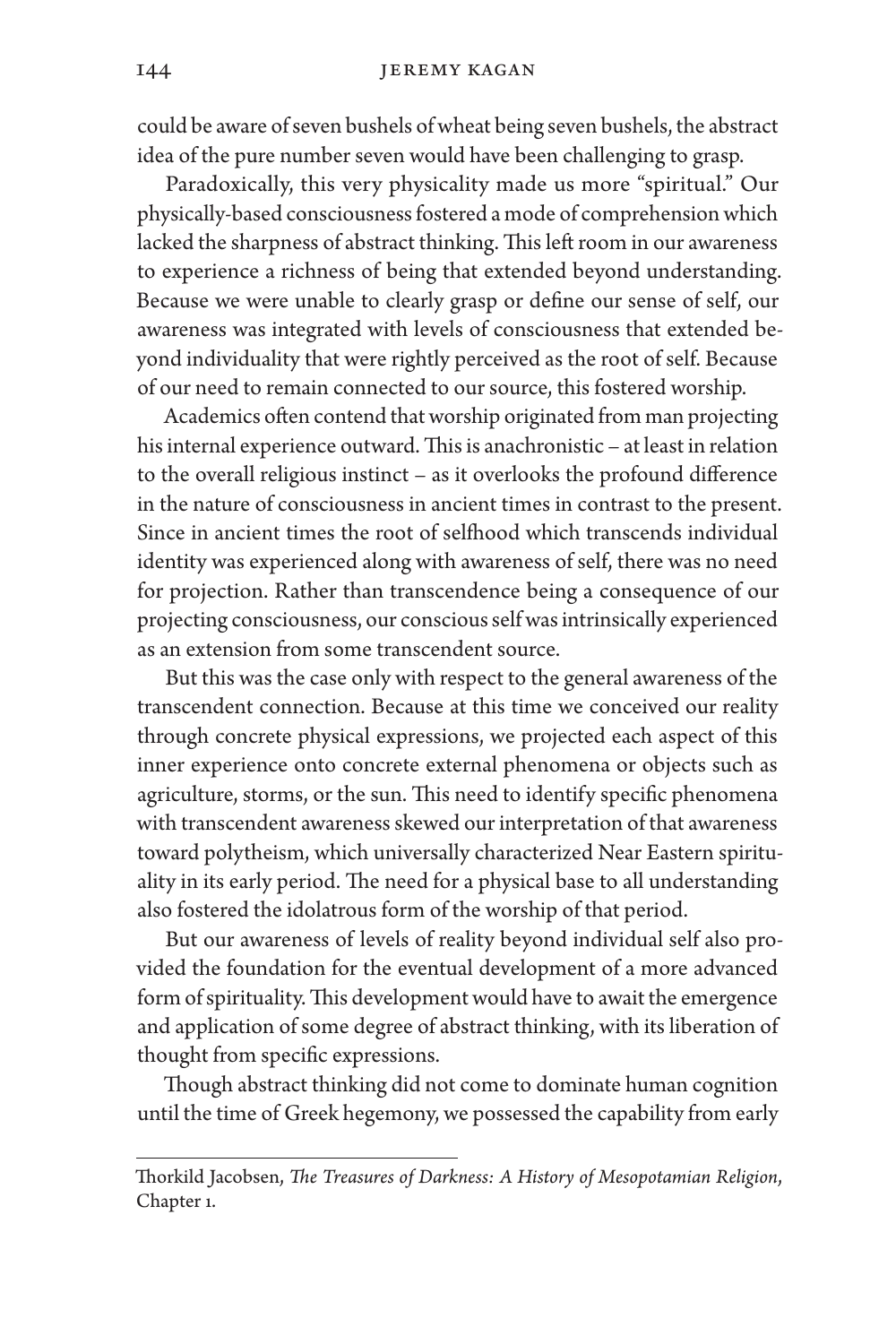could be aware of seven bushels of wheat being seven bushels, the abstract idea of the pure number seven would have been challenging to grasp.

Paradoxically, this very physicality made us more "spiritual." Our physically-based consciousness fostered a mode of comprehension which lacked the sharpness of abstract thinking. This left room in our awareness to experience a richness of being that extended beyond understanding. Because we were unable to clearly grasp or define our sense of self, our awareness was integrated with levels of consciousness that extended beyond individuality that were rightly perceived as the root of self. Because of our need to remain connected to our source, this fostered worship.

Academics often contend that worship originated from man projecting his internal experience outward. This is anachronistic – at least in relation to the overall religious instinct – as it overlooks the profound difference in the nature of consciousness in ancient times in contrast to the present. Since in ancient times the root of selfhood which transcends individual identity was experienced along with awareness of self, there was no need for projection. Rather than transcendence being a consequence of our projecting consciousness, our conscious self was intrinsically experienced as an extension from some transcendent source.

But this was the case only with respect to the general awareness of the transcendent connection. Because at this time we conceived our reality through concrete physical expressions, we projected each aspect of this inner experience onto concrete external phenomena or objects such as agriculture, storms, or the sun. This need to identify specific phenomena with transcendent awareness skewed our interpretation of that awareness toward polytheism, which universally characterized Near Eastern spirituality in its early period. The need for a physical base to all understanding also fostered the idolatrous form of the worship of that period.

But our awareness of levels of reality beyond individual self also provided the foundation for the eventual development of a more advanced form of spirituality. This development would have to await the emergence and application of some degree of abstract thinking, with its liberation of thought from specific expressions.

Though abstract thinking did not come to dominate human cognition until the time of Greek hegemony, we possessed the capability from early

Thorkild Jacobsen, *The Treasures of Darkness: A History of Mesopotamian Religion*, Chapter 1.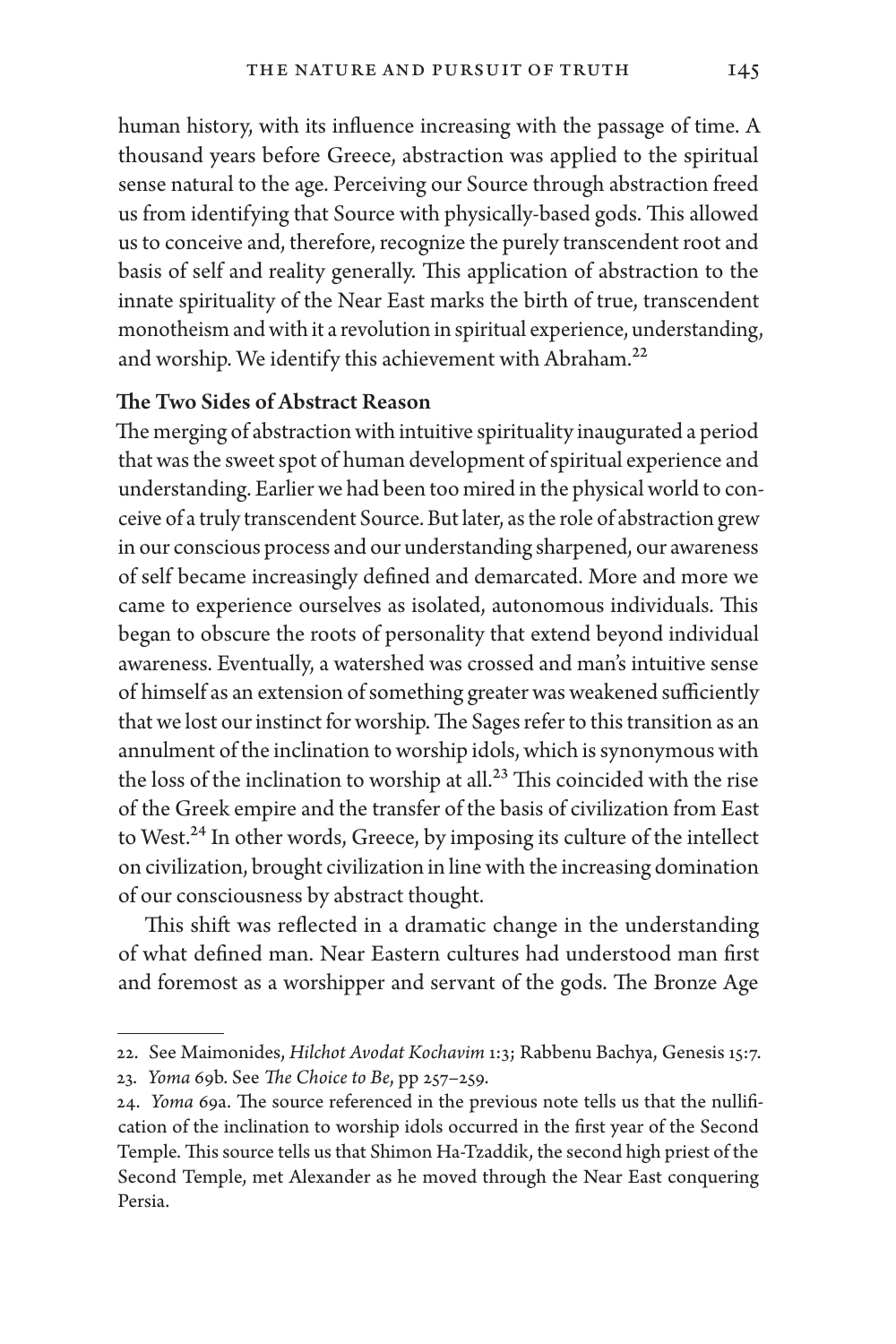human history, with its influence increasing with the passage of time. A thousand years before Greece, abstraction was applied to the spiritual sense natural to the age. Perceiving our Source through abstraction freed us from identifying that Source with physically-based gods. This allowed us to conceive and, therefore, recognize the purely transcendent root and basis of self and reality generally. This application of abstraction to the innate spirituality of the Near East marks the birth of true, transcendent monotheism and with it a revolution in spiritual experience, understanding, and worship. We identify this achievement with Abraham.<sup>22</sup>

#### The Two Sides of Abstract Reason

The merging of abstraction with intuitive spirituality inaugurated a period that was the sweet spot of human development of spiritual experience and understanding. Earlier we had been too mired in the physical world to conceive of a truly transcendent Source. But later, as the role of abstraction grew in our conscious process and our understanding sharpened, our awareness of self became increasingly defined and demarcated. More and more we came to experience ourselves as isolated, autonomous individuals. This began to obscure the roots of personality that extend beyond individual awareness. Eventually, a watershed was crossed and man's intuitive sense of himself as an extension of something greater was weakened sufficiently that we lost our instinct for worship. The Sages refer to this transition as an annulment of the inclination to worship idols, which is synonymous with the loss of the inclination to worship at all.<sup>23</sup> This coincided with the rise of the Greek empire and the transfer of the basis of civilization from East to West.<sup>24</sup> In other words, Greece, by imposing its culture of the intellect on civilization, brought civilization in line with the increasing domination of our consciousness by abstract thought.

This shift was reflected in a dramatic change in the understanding of what defined man. Near Eastern cultures had understood man first and foremost as a worshipper and servant of the gods. The Bronze Age

<sup>22.</sup> See Maimonides, *Hilchot Avodat Kochavim* 1:3; Rabbenu Bachya, Genesis 15:7.

<sup>23.</sup> *Yoma* 69b. See *The Choice to Be*, pp 257–259.

<sup>24.</sup> *Yoma* 69a. The source referenced in the previous note tells us that the nullification of the inclination to worship idols occurred in the first year of the Second Temple. This source tells us that Shimon Ha-Tzaddik, the second high priest of the Second Temple, met Alexander as he moved through the Near East conquering Persia.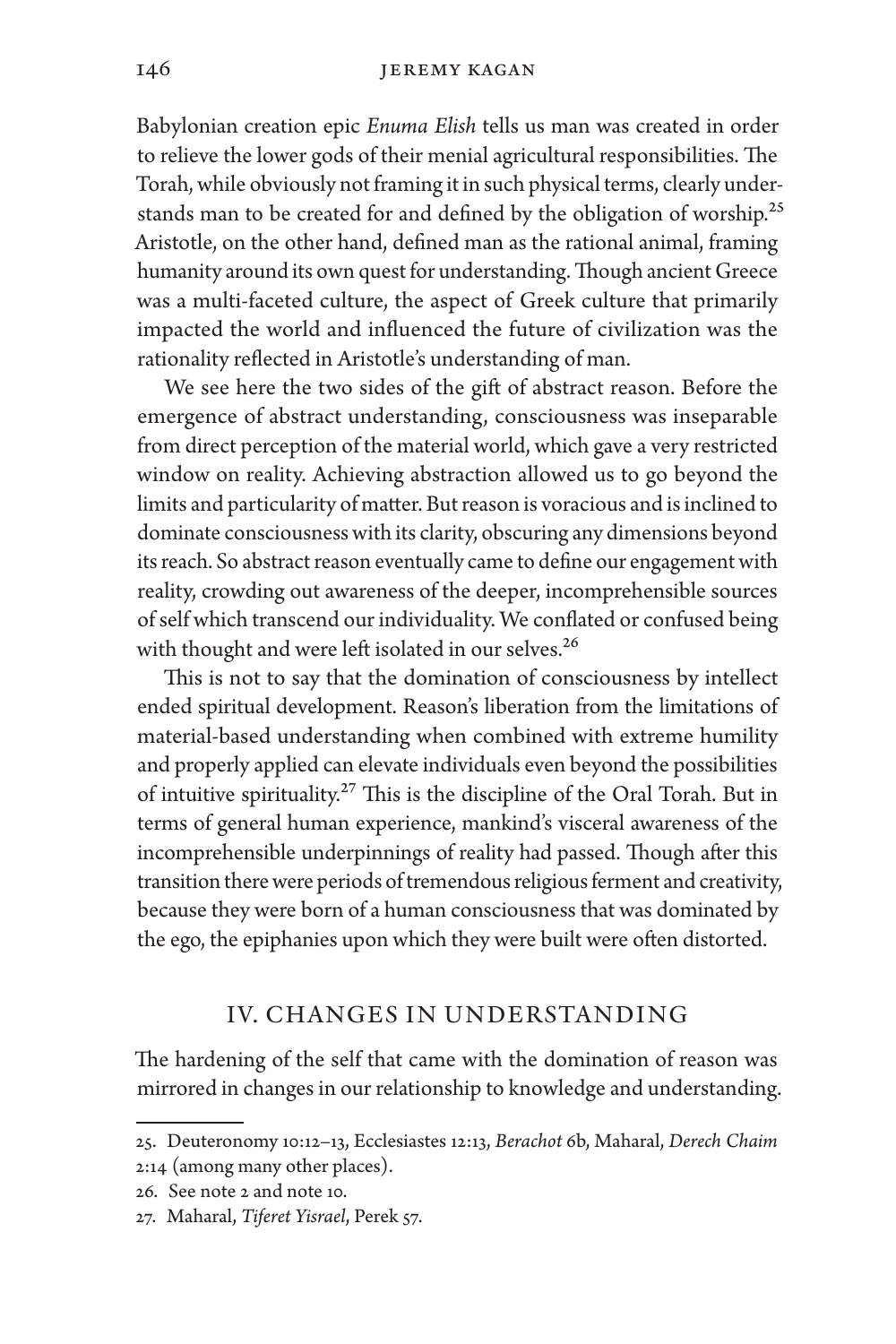Babylonian creation epic *Enuma Elish* tells us man was created in order to relieve the lower gods of their menial agricultural responsibilities. The Torah, while obviously not framing it in such physical terms, clearly understands man to be created for and defined by the obligation of worship.<sup>25</sup> Aristotle, on the other hand, defined man as the rational animal, framing humanity around its own quest for understanding. Though ancient Greece was a multi-faceted culture, the aspect of Greek culture that primarily impacted the world and influenced the future of civilization was the rationality reflected in Aristotle's understanding of man.

We see here the two sides of the gift of abstract reason. Before the emergence of abstract understanding, consciousness was inseparable from direct perception of the material world, which gave a very restricted window on reality. Achieving abstraction allowed us to go beyond the limits and particularity of matter. But reason is voracious and is inclined to dominate consciousness with its clarity, obscuring any dimensions beyond its reach. So abstract reason eventually came to define our engagement with reality, crowding out awareness of the deeper, incomprehensible sources of self which transcend our individuality. We conflated or confused being with thought and were left isolated in our selves.<sup>26</sup>

This is not to say that the domination of consciousness by intellect ended spiritual development. Reason's liberation from the limitations of material-based understanding when combined with extreme humility and properly applied can elevate individuals even beyond the possibilities of intuitive spirituality.27 This is the discipline of the Oral Torah. But in terms of general human experience, mankind's visceral awareness of the incomprehensible underpinnings of reality had passed. Though after this transition there were periods of tremendous religious ferment and creativity, because they were born of a human consciousness that was dominated by the ego, the epiphanies upon which they were built were often distorted.

# IV. CHANGES IN UNDERSTANDING

The hardening of the self that came with the domination of reason was mirrored in changes in our relationship to knowledge and understanding.

<sup>25.</sup> Deuteronomy 10:12–13, Ecclesiastes 12:13, *Berachot* 6b, Maharal, *Derech Chaim* 2:14 (among many other places).

<sup>26.</sup> See note 2 and note 10.

<sup>27.</sup> Maharal, *Tiferet Yisrael*, Perek 57.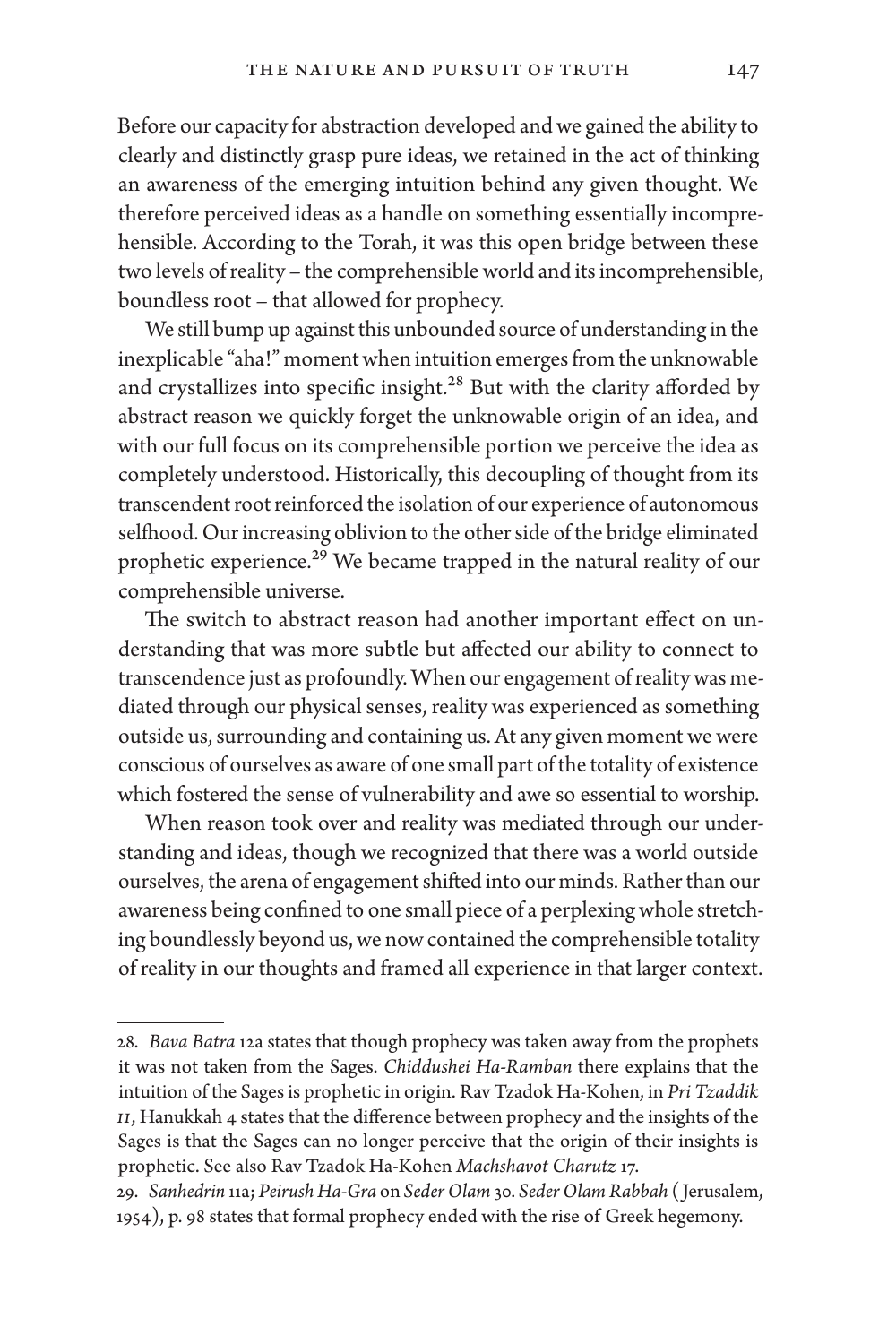Before our capacity for abstraction developed and we gained the ability to clearly and distinctly grasp pure ideas, we retained in the act of thinking an awareness of the emerging intuition behind any given thought. We therefore perceived ideas as a handle on something essentially incomprehensible. According to the Torah, it was this open bridge between these two levels of reality – the comprehensible world and its incomprehensible, boundless root – that allowed for prophecy.

We still bump up against this unbounded source of understanding in the inexplicable "aha!" moment when intuition emerges from the unknowable and crystallizes into specific insight.<sup>28</sup> But with the clarity afforded by abstract reason we quickly forget the unknowable origin of an idea, and with our full focus on its comprehensible portion we perceive the idea as completely understood. Historically, this decoupling of thought from its transcendent root reinforced the isolation of our experience of autonomous selfhood. Our increasing oblivion to the other side of the bridge eliminated prophetic experience.<sup>29</sup> We became trapped in the natural reality of our comprehensible universe.

The switch to abstract reason had another important effect on understanding that was more subtle but affected our ability to connect to transcendence just as profoundly. When our engagement of reality was mediated through our physical senses, reality was experienced as something outside us, surrounding and containing us. At any given moment we were conscious of ourselves as aware of one small part of the totality of existence which fostered the sense of vulnerability and awe so essential to worship.

When reason took over and reality was mediated through our understanding and ideas, though we recognized that there was a world outside ourselves, the arena of engagement shifted into our minds. Rather than our awareness being confined to one small piece of a perplexing whole stretching boundlessly beyond us, we now contained the comprehensible totality of reality in our thoughts and framed all experience in that larger context.

<sup>28.</sup> *Bava Batra* 12a states that though prophecy was taken away from the prophets it was not taken from the Sages. *Chiddushei Ha-Ramban* there explains that the intuition of the Sages is prophetic in origin. Rav Tzadok Ha-Kohen, in *Pri Tzaddik II*, Hanukkah 4 states that the difference between prophecy and the insights of the Sages is that the Sages can no longer perceive that the origin of their insights is prophetic. See also Rav Tzadok Ha-Kohen *Machshavot Charutz* 17.

<sup>29.</sup> *Sanhedrin* 11a; *Peirush Ha-Gra* on *Seder Olam* 30. *Seder Olam Rabbah* ( Jerusalem, 1954), p. 98 states that formal prophecy ended with the rise of Greek hegemony.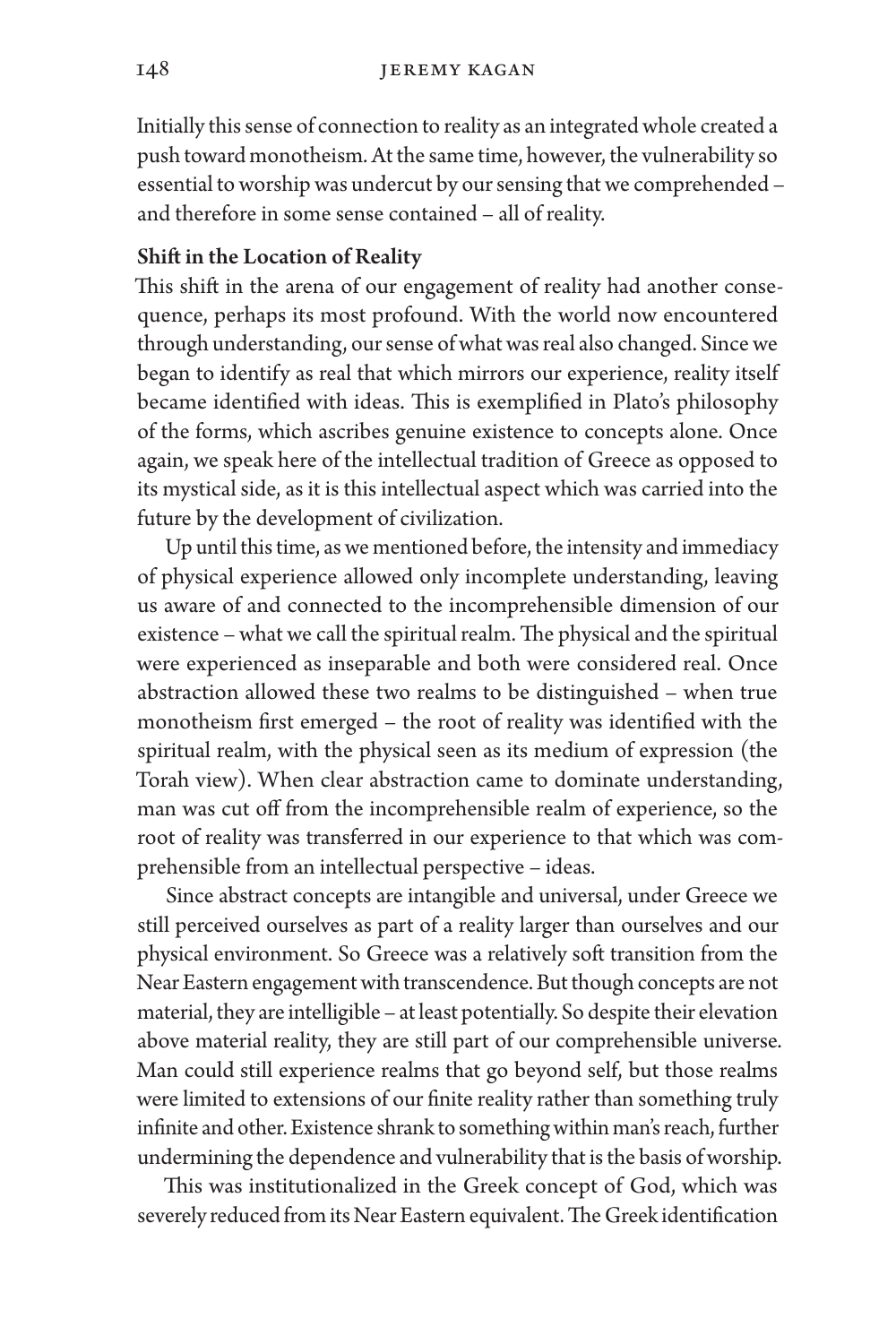Initially this sense of connection to reality as an integrated whole created a push toward monotheism. At the same time, however, the vulnerability so essential to worship was undercut by our sensing that we comprehended – and therefore in some sense contained – all of reality.

#### Shift in the Location of Reality

This shift in the arena of our engagement of reality had another consequence, perhaps its most profound. With the world now encountered through understanding, our sense of what was real also changed. Since we began to identify as real that which mirrors our experience, reality itself became identified with ideas. This is exemplified in Plato's philosophy of the forms, which ascribes genuine existence to concepts alone. Once again, we speak here of the intellectual tradition of Greece as opposed to its mystical side, as it is this intellectual aspect which was carried into the future by the development of civilization.

Up until this time, as we mentioned before, the intensity and immediacy of physical experience allowed only incomplete understanding, leaving us aware of and connected to the incomprehensible dimension of our existence – what we call the spiritual realm. The physical and the spiritual were experienced as inseparable and both were considered real. Once abstraction allowed these two realms to be distinguished – when true monotheism first emerged – the root of reality was identified with the spiritual realm, with the physical seen as its medium of expression (the Torah view). When clear abstraction came to dominate understanding, man was cut off from the incomprehensible realm of experience, so the root of reality was transferred in our experience to that which was comprehensible from an intellectual perspective – ideas.

Since abstract concepts are intangible and universal, under Greece we still perceived ourselves as part of a reality larger than ourselves and our physical environment. So Greece was a relatively soft transition from the Near Eastern engagement with transcendence. But though concepts are not material, they are intelligible – at least potentially. So despite their elevation above material reality, they are still part of our comprehensible universe. Man could still experience realms that go beyond self, but those realms were limited to extensions of our finite reality rather than something truly infinite and other. Existence shrank to something within man's reach, further undermining the dependence and vulnerability that is the basis of worship.

This was institutionalized in the Greek concept of God, which was severely reduced from its Near Eastern equivalent. The Greek identification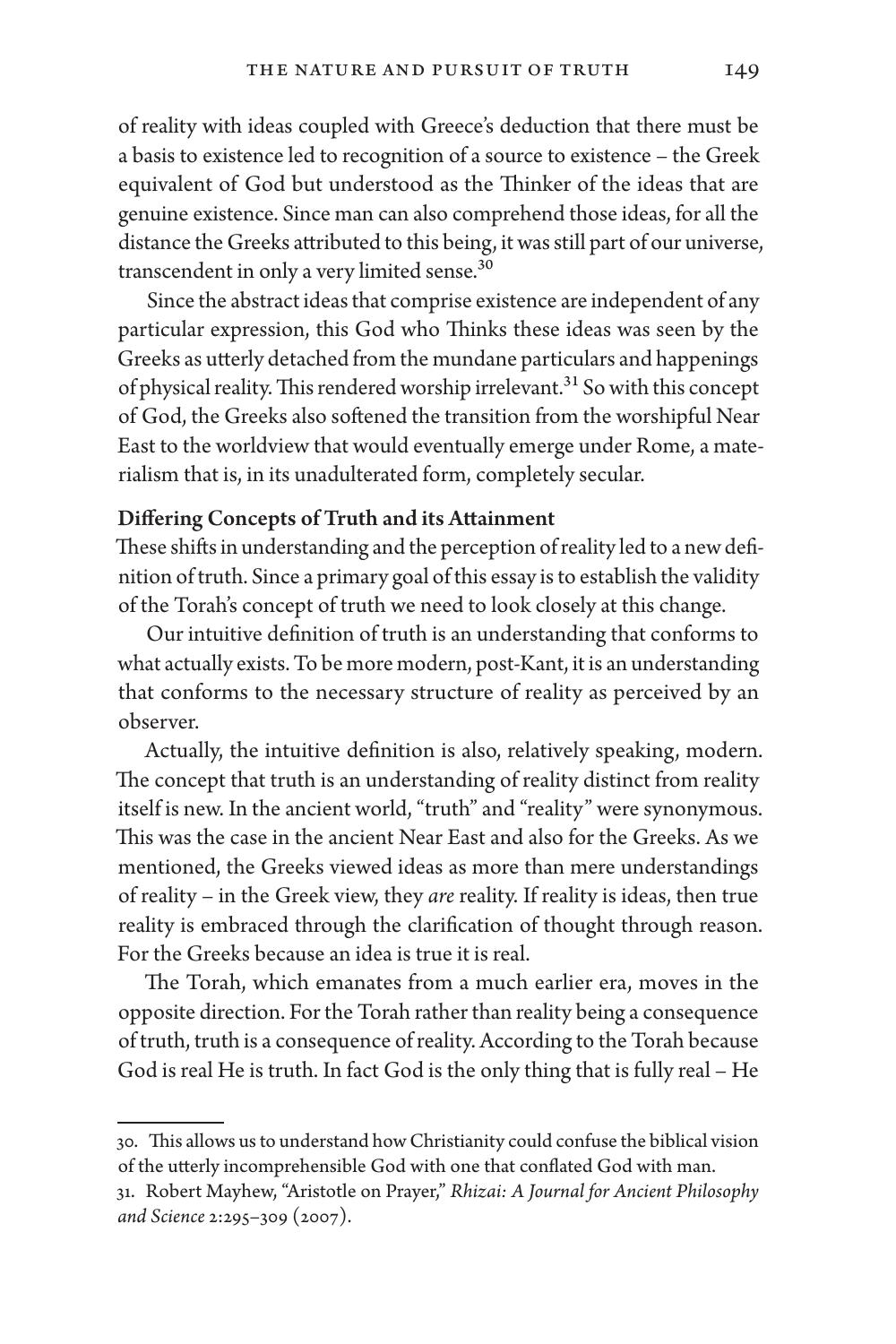of reality with ideas coupled with Greece's deduction that there must be a basis to existence led to recognition of a source to existence – the Greek equivalent of God but understood as the Thinker of the ideas that are genuine existence. Since man can also comprehend those ideas, for all the distance the Greeks attributed to this being, it was still part of our universe, transcendent in only a very limited sense.30

Since the abstract ideas that comprise existence are independent of any particular expression, this God who Thinks these ideas was seen by the Greeks as utterly detached from the mundane particulars and happenings of physical reality. This rendered worship irrelevant.<sup>31</sup> So with this concept of God, the Greeks also softened the transition from the worshipful Near East to the worldview that would eventually emerge under Rome, a materialism that is, in its unadulterated form, completely secular.

#### Differing Concepts of Truth and its Attainment

These shifts in understanding and the perception of reality led to a new definition of truth. Since a primary goal of this essay is to establish the validity of the Torah's concept of truth we need to look closely at this change.

Our intuitive definition of truth is an understanding that conforms to what actually exists. To be more modern, post-Kant, it is an understanding that conforms to the necessary structure of reality as perceived by an observer.

Actually, the intuitive definition is also, relatively speaking, modern. The concept that truth is an understanding of reality distinct from reality itself is new. In the ancient world, "truth" and "reality" were synonymous. This was the case in the ancient Near East and also for the Greeks. As we mentioned, the Greeks viewed ideas as more than mere understandings of reality – in the Greek view, they *are* reality. If reality is ideas, then true reality is embraced through the clarification of thought through reason. For the Greeks because an idea is true it is real.

The Torah, which emanates from a much earlier era, moves in the opposite direction. For the Torah rather than reality being a consequence of truth, truth is a consequence of reality. According to the Torah because God is real He is truth. In fact God is the only thing that is fully real – He

<sup>30.</sup> This allows us to understand how Christianity could confuse the biblical vision of the utterly incomprehensible God with one that conflated God with man.

<sup>31.</sup> Robert Mayhew, "Aristotle on Prayer," *Rhizai: A Journal for Ancient Philosophy and Science* 2:295–309 (2007).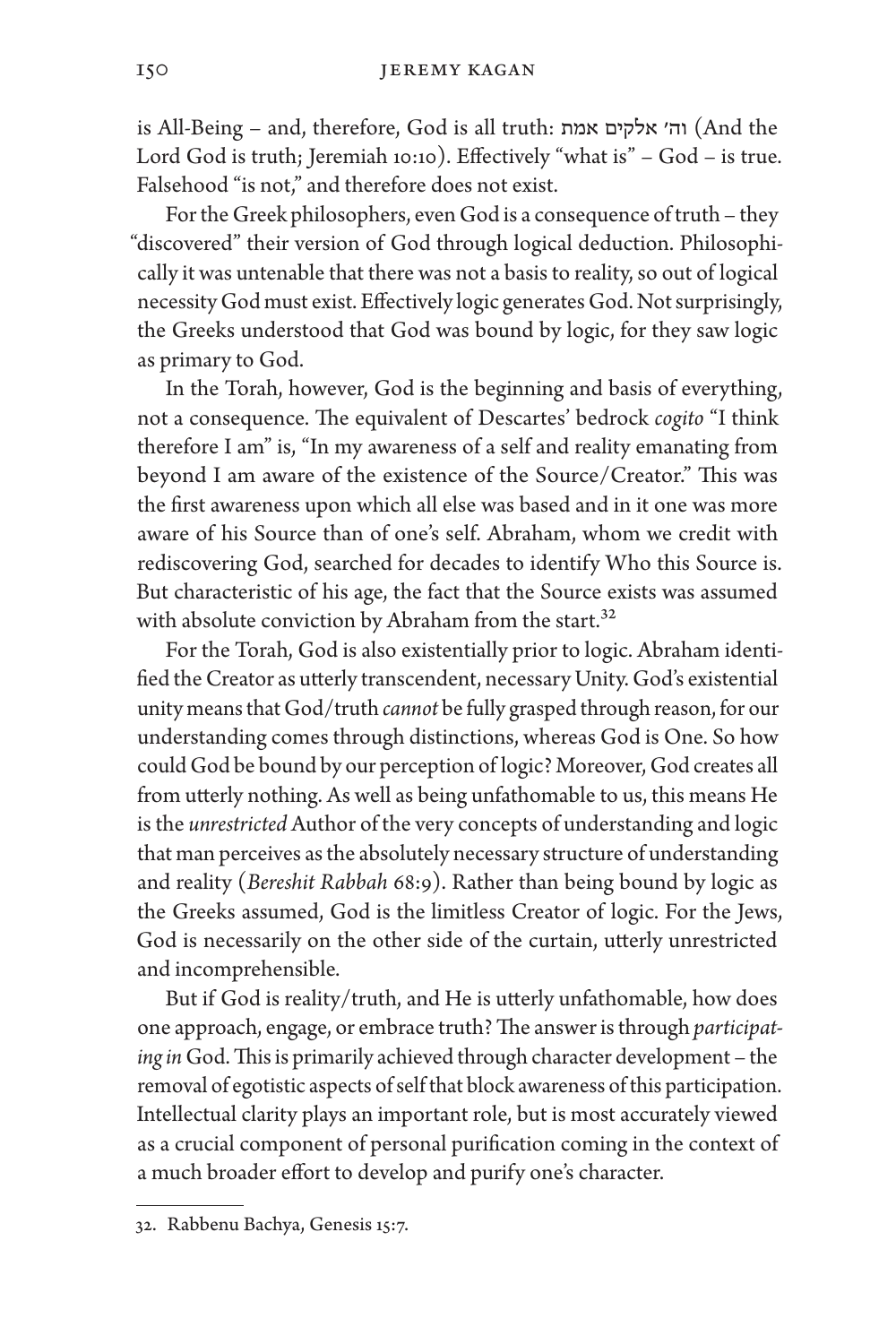is All-Being – and, therefore, God is all truth: אמת אלקים וה׳) And the Lord God is truth; Jeremiah 10:10). Effectively "what is" – God – is true. Falsehood "is not," and therefore does not exist.

For the Greek philosophers, even God is a consequence of truth – they "discovered" their version of God through logical deduction. Philosophically it was untenable that there was not a basis to reality, so out of logical necessity God must exist. Effectively logic generates God. Not surprisingly, the Greeks understood that God was bound by logic, for they saw logic as primary to God.

In the Torah, however, God is the beginning and basis of everything, not a consequence. The equivalent of Descartes' bedrock *cogito* "I think therefore I am" is, "In my awareness of a self and reality emanating from beyond I am aware of the existence of the Source/Creator." This was the first awareness upon which all else was based and in it one was more aware of his Source than of one's self. Abraham, whom we credit with rediscovering God, searched for decades to identify Who this Source is. But characteristic of his age, the fact that the Source exists was assumed with absolute conviction by Abraham from the start.<sup>32</sup>

For the Torah, God is also existentially prior to logic. Abraham identified the Creator as utterly transcendent, necessary Unity. God's existential unity means that God/truth *cannot* be fully grasped through reason, for our understanding comes through distinctions, whereas God is One. So how could God be bound by our perception of logic? Moreover, God creates all from utterly nothing. As well as being unfathomable to us, this means He is the *unrestricted* Author of the very concepts of understanding and logic that man perceives as the absolutely necessary structure of understanding and reality (*Bereshit Rabbah* 68:9). Rather than being bound by logic as the Greeks assumed, God is the limitless Creator of logic. For the Jews, God is necessarily on the other side of the curtain, utterly unrestricted and incomprehensible.

But if God is reality/truth, and He is utterly unfathomable, how does one approach, engage, or embrace truth? The answer is through *participating in* God. This is primarily achieved through character development – the removal of egotistic aspects of self that block awareness of this participation. Intellectual clarity plays an important role, but is most accurately viewed as a crucial component of personal purification coming in the context of a much broader effort to develop and purify one's character.

<sup>32.</sup> Rabbenu Bachya, Genesis 15:7.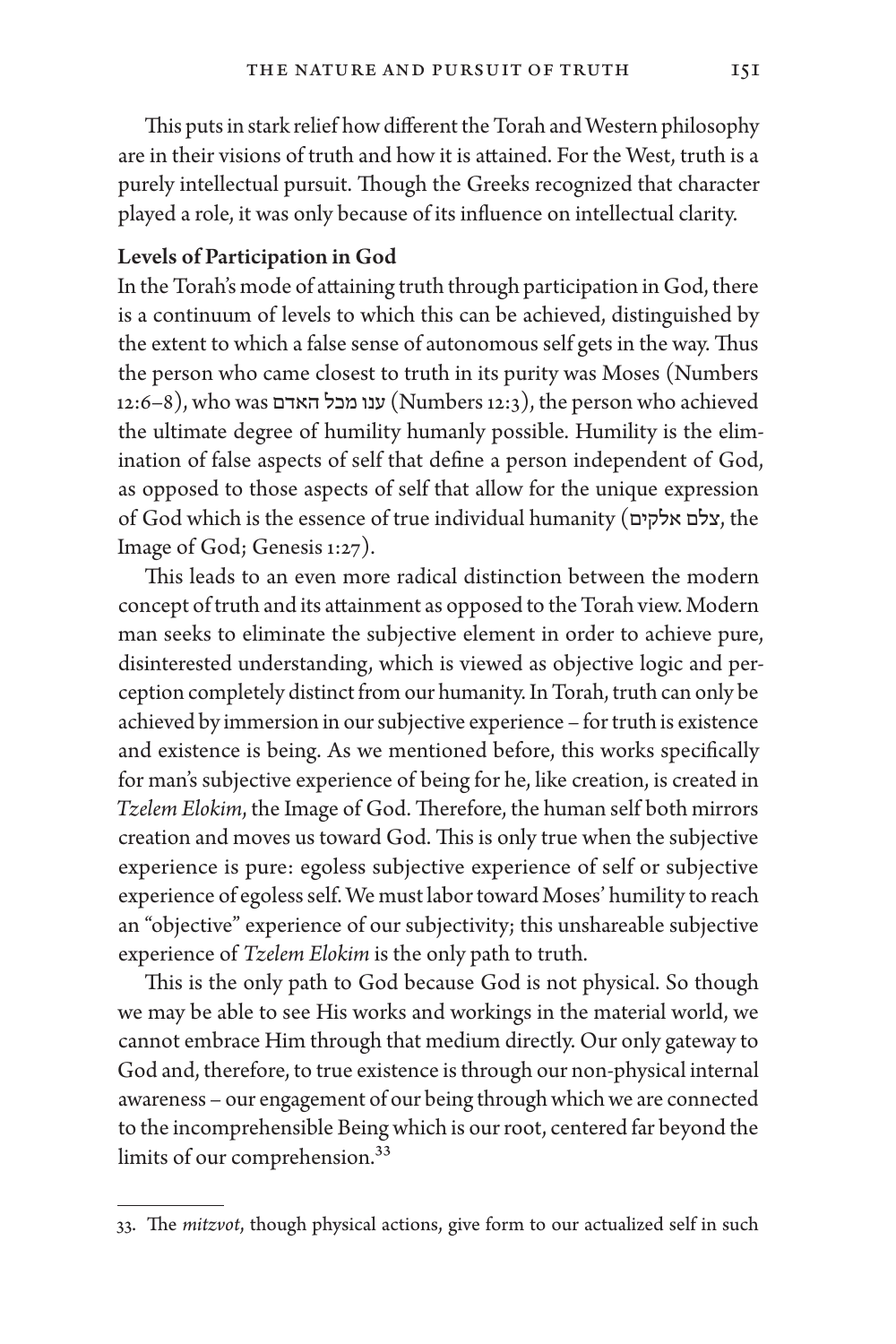This puts in stark relief how different the Torah and Western philosophy are in their visions of truth and how it is attained. For the West, truth is a purely intellectual pursuit. Though the Greeks recognized that character played a role, it was only because of its influence on intellectual clarity.

#### Levels of Participation in God

In the Torah's mode of attaining truth through participation in God, there is a continuum of levels to which this can be achieved, distinguished by the extent to which a false sense of autonomous self gets in the way. Thus the person who came closest to truth in its purity was Moses (Numbers 12:6–8), who was האדם מכל ענו) Numbers 12:3), the person who achieved the ultimate degree of humility humanly possible. Humility is the elimination of false aspects of self that define a person independent of God, as opposed to those aspects of self that allow for the unique expression of God which is the essence of true individual humanity (אלקים צלם, the Image of God; Genesis 1:27).

This leads to an even more radical distinction between the modern concept of truth and its attainment as opposed to the Torah view. Modern man seeks to eliminate the subjective element in order to achieve pure, disinterested understanding, which is viewed as objective logic and perception completely distinct from our humanity. In Torah, truth can only be achieved by immersion in our subjective experience – for truth is existence and existence is being. As we mentioned before, this works specifically for man's subjective experience of being for he, like creation, is created in *Tzelem Elokim*, the Image of God. Therefore, the human self both mirrors creation and moves us toward God. This is only true when the subjective experience is pure: egoless subjective experience of self or subjective experience of egoless self. We must labor toward Moses' humility to reach an "objective" experience of our subjectivity; this unshareable subjective experience of *Tzelem Elokim* is the only path to truth.

This is the only path to God because God is not physical. So though we may be able to see His works and workings in the material world, we cannot embrace Him through that medium directly. Our only gateway to God and, therefore, to true existence is through our non-physical internal awareness – our engagement of our being through which we are connected to the incomprehensible Being which is our root, centered far beyond the limits of our comprehension.33

<sup>33.</sup> The *mitzvot*, though physical actions, give form to our actualized self in such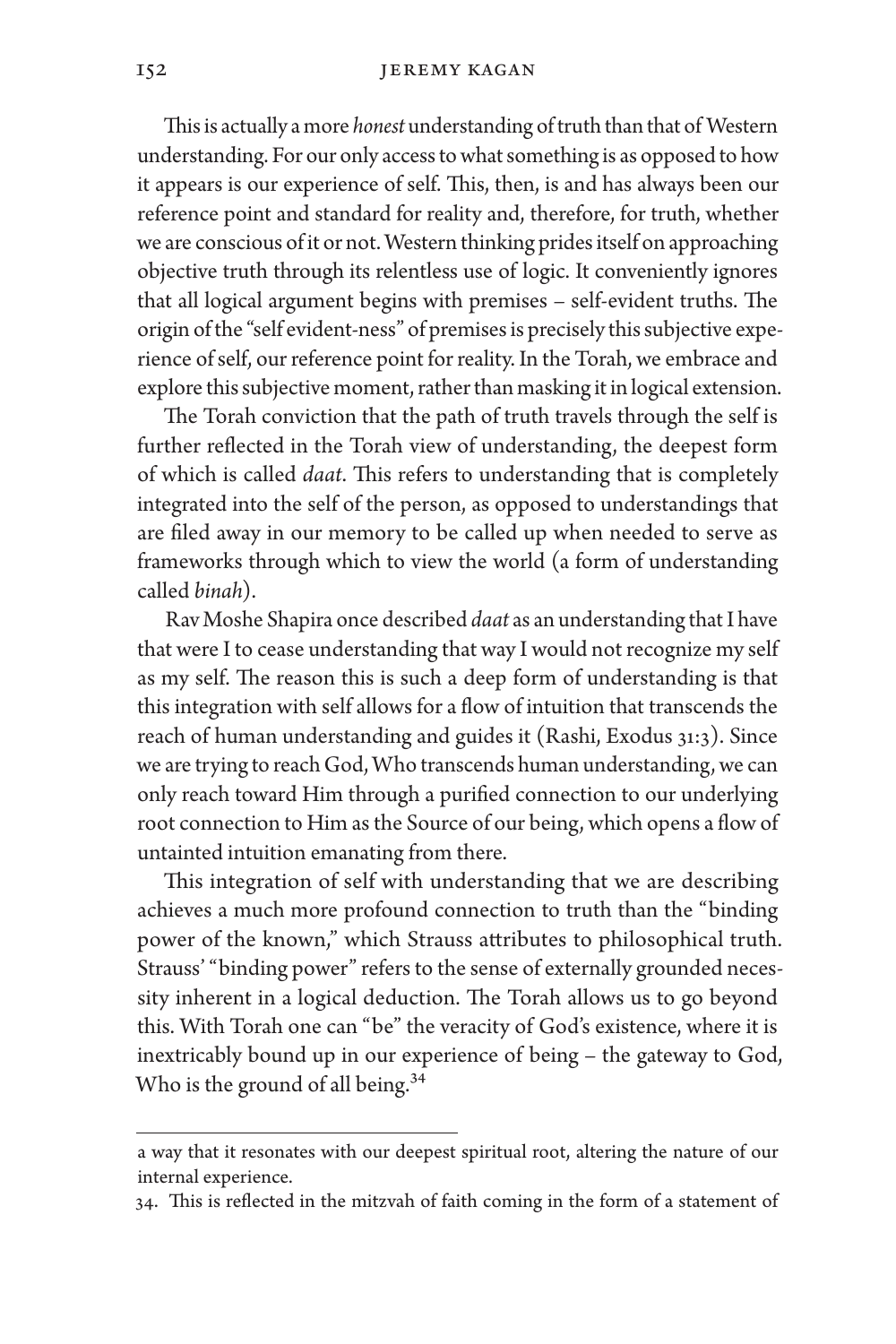This is actually a more *honest* understanding of truth than that of Western understanding. For our only access to what something is as opposed to how it appears is our experience of self. This, then, is and has always been our reference point and standard for reality and, therefore, for truth, whether we are conscious of it or not. Western thinking prides itself on approaching objective truth through its relentless use of logic. It conveniently ignores that all logical argument begins with premises – self-evident truths. The origin of the "self evident-ness" of premises is precisely this subjective experience of self, our reference point for reality. In the Torah, we embrace and explore this subjective moment, rather than masking it in logical extension.

The Torah conviction that the path of truth travels through the self is further reflected in the Torah view of understanding, the deepest form of which is called *daat*. This refers to understanding that is completely integrated into the self of the person, as opposed to understandings that are filed away in our memory to be called up when needed to serve as frameworks through which to view the world (a form of understanding called *binah*).

Rav Moshe Shapira once described *daat* as an understanding that I have that were I to cease understanding that way I would not recognize my self as my self. The reason this is such a deep form of understanding is that this integration with self allows for a flow of intuition that transcends the reach of human understanding and guides it (Rashi, Exodus 31:3). Since we are trying to reach God, Who transcends human understanding, we can only reach toward Him through a purified connection to our underlying root connection to Him as the Source of our being, which opens a flow of untainted intuition emanating from there.

This integration of self with understanding that we are describing achieves a much more profound connection to truth than the "binding power of the known," which Strauss attributes to philosophical truth. Strauss' "binding power" refers to the sense of externally grounded necessity inherent in a logical deduction. The Torah allows us to go beyond this. With Torah one can "be" the veracity of God's existence, where it is inextricably bound up in our experience of being – the gateway to God, Who is the ground of all being.<sup>34</sup>

a way that it resonates with our deepest spiritual root, altering the nature of our internal experience.

<sup>34.</sup> This is reflected in the mitzvah of faith coming in the form of a statement of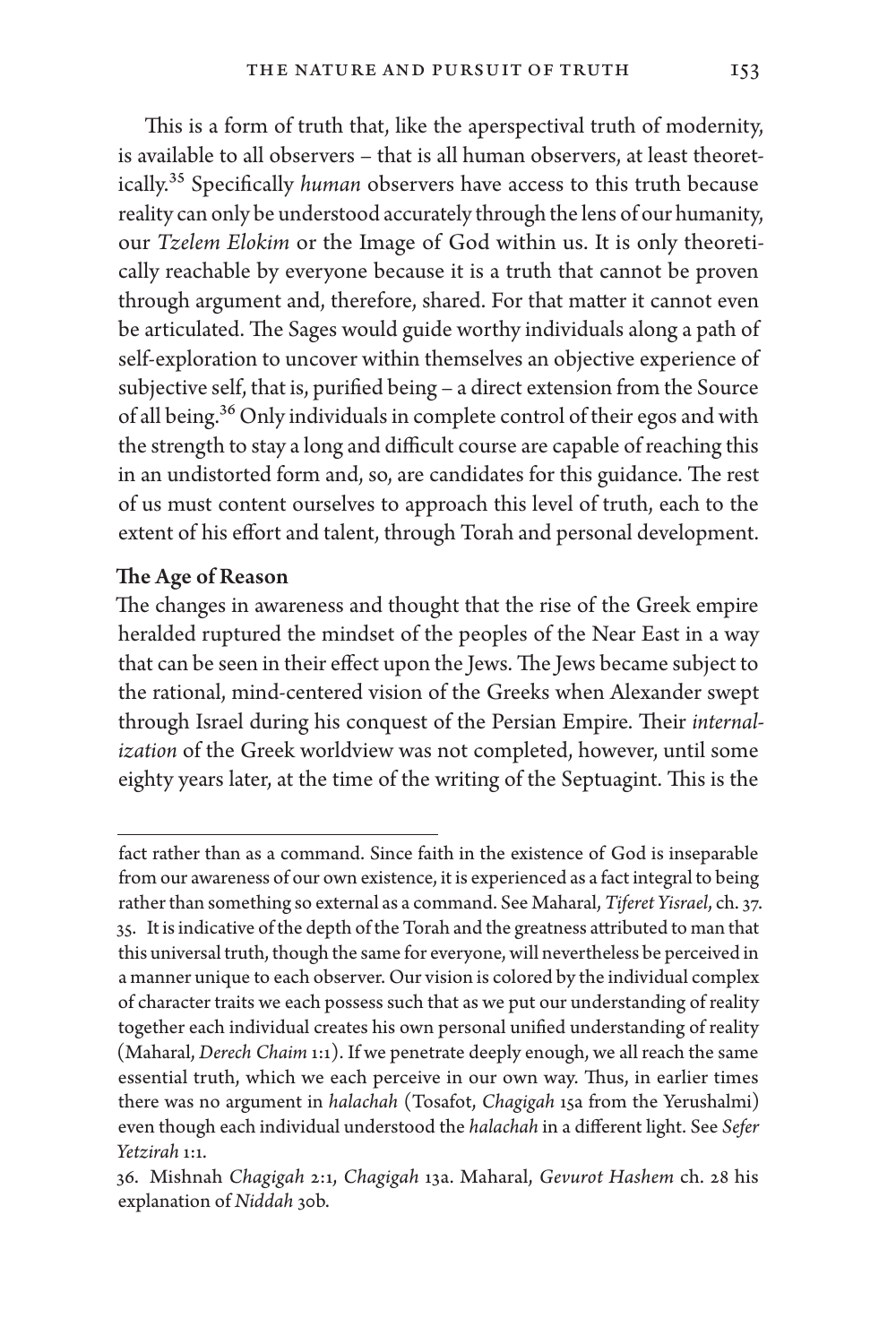This is a form of truth that, like the aperspectival truth of modernity, is available to all observers – that is all human observers, at least theoretically.35 Specifically *human* observers have access to this truth because reality can only be understood accurately through the lens of our humanity, our *Tzelem Elokim* or the Image of God within us. It is only theoretically reachable by everyone because it is a truth that cannot be proven through argument and, therefore, shared. For that matter it cannot even be articulated. The Sages would guide worthy individuals along a path of self-exploration to uncover within themselves an objective experience of subjective self, that is, purified being – a direct extension from the Source of all being.36 Only individuals in complete control of their egos and with the strength to stay a long and difficult course are capable of reaching this in an undistorted form and, so, are candidates for this guidance. The rest of us must content ourselves to approach this level of truth, each to the extent of his effort and talent, through Torah and personal development.

#### The Age of Reason

The changes in awareness and thought that the rise of the Greek empire heralded ruptured the mindset of the peoples of the Near East in a way that can be seen in their effect upon the Jews. The Jews became subject to the rational, mind-centered vision of the Greeks when Alexander swept through Israel during his conquest of the Persian Empire. Their *internalization* of the Greek worldview was not completed, however, until some eighty years later, at the time of the writing of the Septuagint. This is the

fact rather than as a command. Since faith in the existence of God is inseparable from our awareness of our own existence, it is experienced as a fact integral to being rather than something so external as a command. See Maharal, *Tiferet Yisrael*, ch. 37. 35. It is indicative of the depth of the Torah and the greatness attributed to man that this universal truth, though the same for everyone, will nevertheless be perceived in a manner unique to each observer. Our vision is colored by the individual complex of character traits we each possess such that as we put our understanding of reality together each individual creates his own personal unified understanding of reality (Maharal, *Derech Chaim* 1:1). If we penetrate deeply enough, we all reach the same essential truth, which we each perceive in our own way. Thus, in earlier times there was no argument in *halachah* (Tosafot, *Chagigah* 15a from the Yerushalmi) even though each individual understood the *halachah* in a different light. See *Sefer Yetzirah* 1:1.

<sup>36.</sup> Mishnah *Chagigah* 2:1, *Chagigah* 13a. Maharal, *Gevurot Hashem* ch. 28 his explanation of *Niddah* 30b.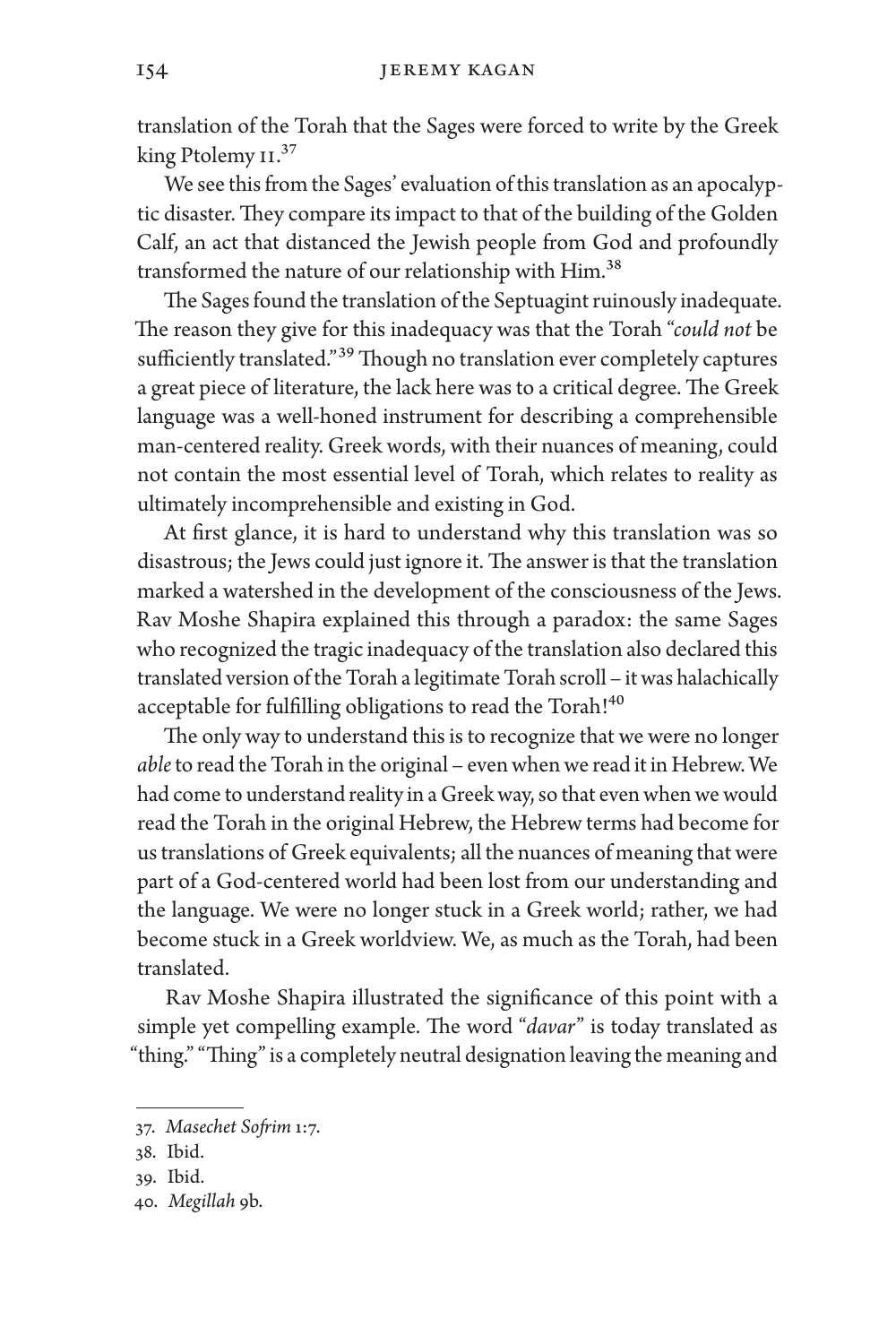translation of the Torah that the Sages were forced to write by the Greek king Ptolemy II.<sup>37</sup>

We see this from the Sages' evaluation of this translation as an apocalyptic disaster. They compare its impact to that of the building of the Golden Calf, an act that distanced the Jewish people from God and profoundly transformed the nature of our relationship with Him.<sup>38</sup>

The Sages found the translation of the Septuagint ruinously inadequate. The reason they give for this inadequacy was that the Torah "*could not* be sufficiently translated."<sup>39</sup> Though no translation ever completely captures a great piece of literature, the lack here was to a critical degree. The Greek language was a well-honed instrument for describing a comprehensible man-centered reality. Greek words, with their nuances of meaning, could not contain the most essential level of Torah, which relates to reality as ultimately incomprehensible and existing in God.

At first glance, it is hard to understand why this translation was so disastrous; the Jews could just ignore it. The answer is that the translation marked a watershed in the development of the consciousness of the Jews. Rav Moshe Shapira explained this through a paradox: the same Sages who recognized the tragic inadequacy of the translation also declared this translated version of the Torah a legitimate Torah scroll – it was halachically acceptable for fulfilling obligations to read the Torah!<sup>40</sup>

The only way to understand this is to recognize that we were no longer *able* to read the Torah in the original – even when we read it in Hebrew. We had come to understand reality in a Greek way, so that even when we would read the Torah in the original Hebrew, the Hebrew terms had become for us translations of Greek equivalents; all the nuances of meaning that were part of a God-centered world had been lost from our understanding and the language. We were no longer stuck in a Greek world; rather, we had become stuck in a Greek worldview. We, as much as the Torah, had been translated.

Rav Moshe Shapira illustrated the significance of this point with a simple yet compelling example. The word "*davar*" is today translated as "thing." "Thing" is a completely neutral designation leaving the meaning and

<sup>37.</sup> *Masechet Sofrim* 1:7.

<sup>38.</sup> Ibid.

<sup>39.</sup> Ibid.

<sup>40.</sup> *Megillah* 9b.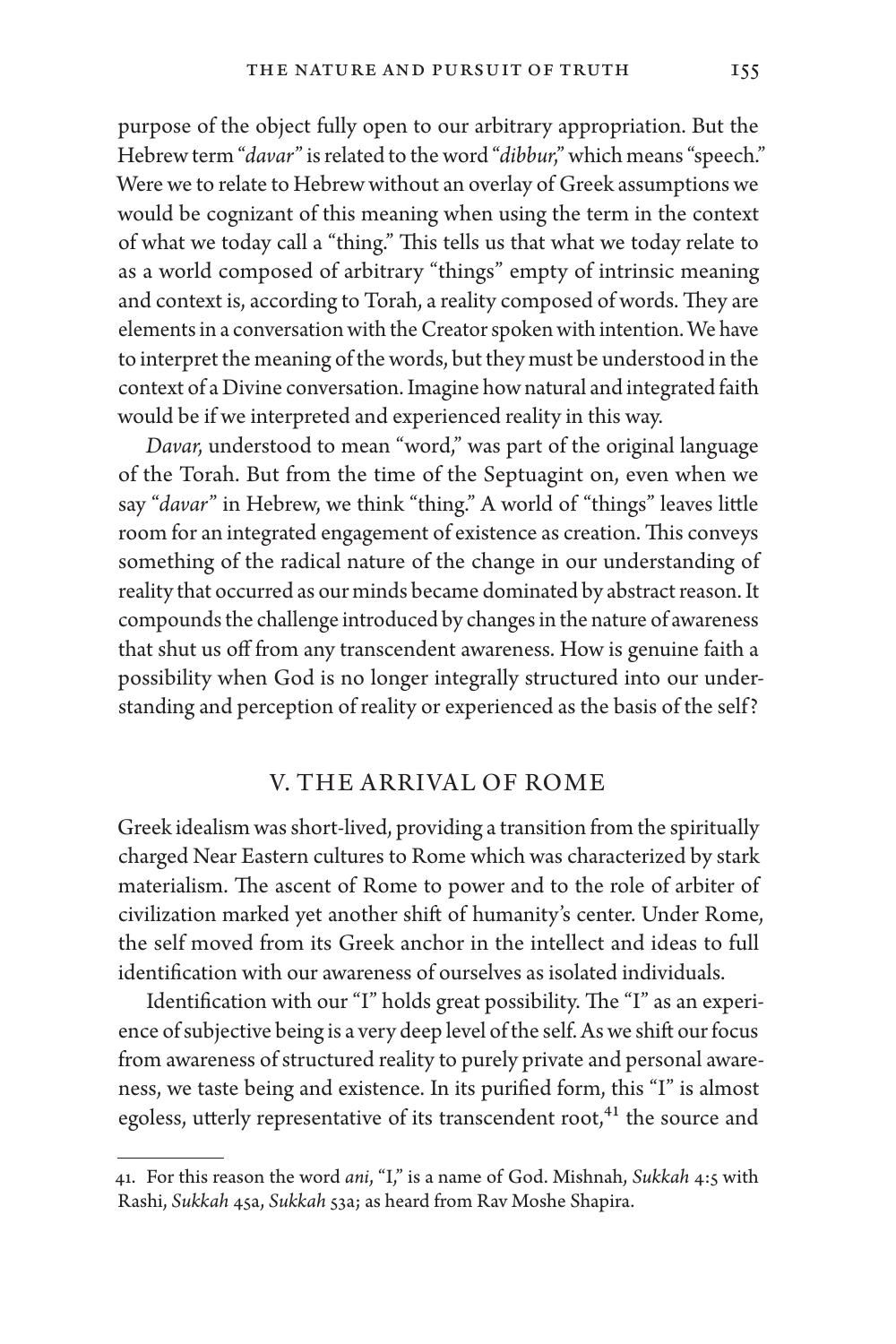purpose of the object fully open to our arbitrary appropriation. But the Hebrew term "*davar*" is related to the word "*dibbur*," which means "speech." Were we to relate to Hebrew without an overlay of Greek assumptions we would be cognizant of this meaning when using the term in the context of what we today call a "thing." This tells us that what we today relate to as a world composed of arbitrary "things" empty of intrinsic meaning and context is, according to Torah, a reality composed of words. They are elements in a conversation with the Creator spoken with intention. We have to interpret the meaning of the words, but they must be understood in the context of a Divine conversation. Imagine how natural and integrated faith would be if we interpreted and experienced reality in this way.

*Davar*, understood to mean "word," was part of the original language of the Torah. But from the time of the Septuagint on, even when we say "*davar*" in Hebrew, we think "thing." A world of "things" leaves little room for an integrated engagement of existence as creation. This conveys something of the radical nature of the change in our understanding of reality that occurred as our minds became dominated by abstract reason. It compounds the challenge introduced by changes in the nature of awareness that shut us off from any transcendent awareness. How is genuine faith a possibility when God is no longer integrally structured into our understanding and perception of reality or experienced as the basis of the self?

# V. THE ARRIVAL OF ROME

Greek idealism was short-lived, providing a transition from the spiritually charged Near Eastern cultures to Rome which was characterized by stark materialism. The ascent of Rome to power and to the role of arbiter of civilization marked yet another shift of humanity's center. Under Rome, the self moved from its Greek anchor in the intellect and ideas to full identification with our awareness of ourselves as isolated individuals.

Identification with our "I" holds great possibility. The "I" as an experience of subjective being is a very deep level of the self. As we shift our focus from awareness of structured reality to purely private and personal awareness, we taste being and existence. In its purified form, this "I" is almost egoless, utterly representative of its transcendent root,<sup>41</sup> the source and

<sup>41.</sup> For this reason the word *ani*, "I," is a name of God. Mishnah, *Sukkah* 4:5 with Rashi, *Sukkah* 45a, *Sukkah* 53a; as heard from Rav Moshe Shapira.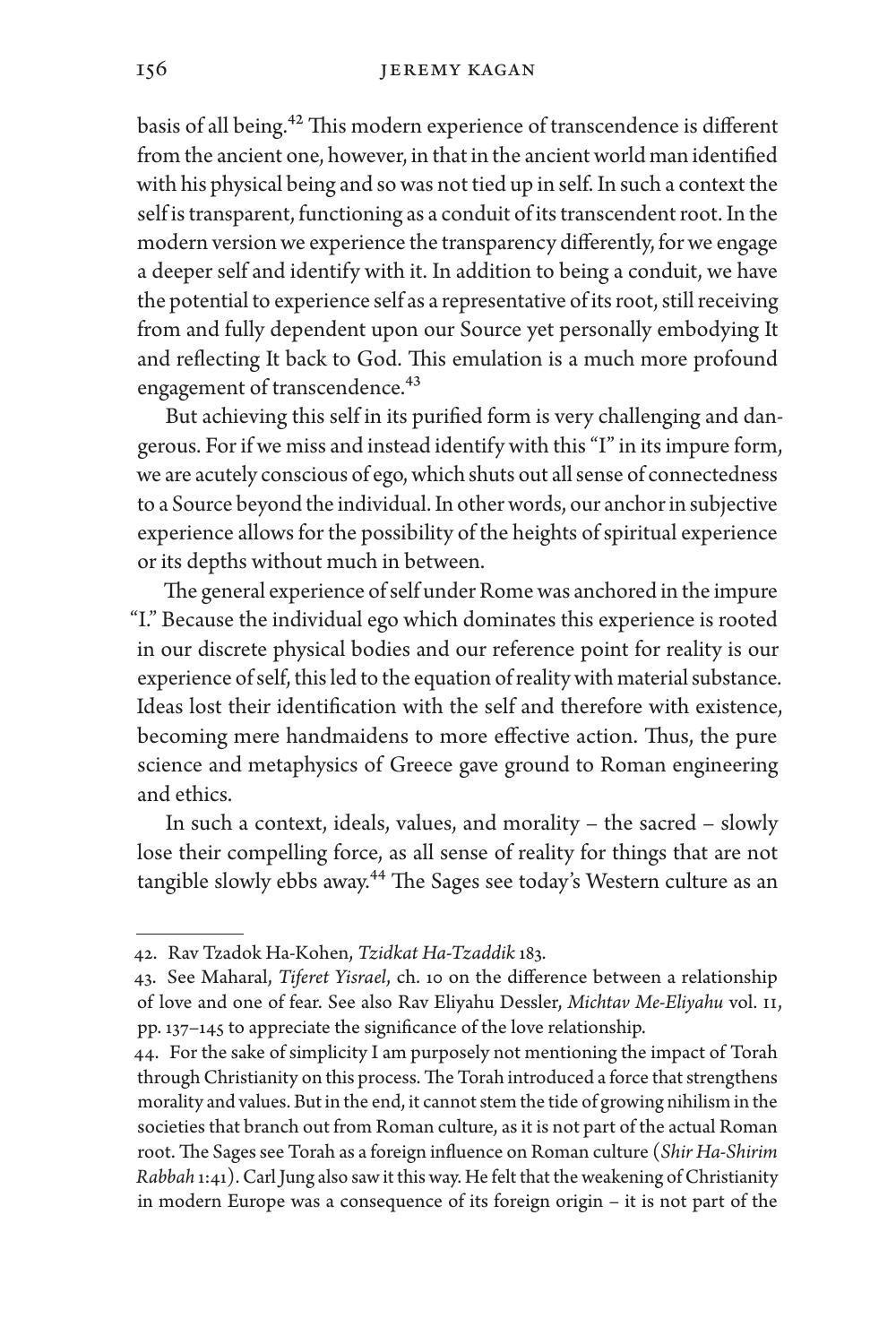basis of all being.42 This modern experience of transcendence is different from the ancient one, however, in that in the ancient world man identified with his physical being and so was not tied up in self. In such a context the self is transparent, functioning as a conduit of its transcendent root. In the modern version we experience the transparency differently, for we engage a deeper self and identify with it. In addition to being a conduit, we have the potential to experience self as a representative of its root, still receiving from and fully dependent upon our Source yet personally embodying It and reflecting It back to God. This emulation is a much more profound engagement of transcendence.<sup>43</sup>

But achieving this self in its purified form is very challenging and dangerous. For if we miss and instead identify with this "I" in its impure form, we are acutely conscious of ego, which shuts out all sense of connectedness to a Source beyond the individual. In other words, our anchor in subjective experience allows for the possibility of the heights of spiritual experience or its depths without much in between.

The general experience of self under Rome was anchored in the impure "I." Because the individual ego which dominates this experience is rooted in our discrete physical bodies and our reference point for reality is our experience of self, this led to the equation of reality with material substance. Ideas lost their identification with the self and therefore with existence, becoming mere handmaidens to more effective action. Thus, the pure science and metaphysics of Greece gave ground to Roman engineering and ethics.

In such a context, ideals, values, and morality – the sacred – slowly lose their compelling force, as all sense of reality for things that are not tangible slowly ebbs away.<sup>44</sup> The Sages see today's Western culture as an

<sup>42.</sup> Rav Tzadok Ha-Kohen, *Tzidkat Ha-Tzaddik* 183.

<sup>43.</sup> See Maharal, *Tiferet Yisrael*, ch. 10 on the difference between a relationship of love and one of fear. See also Rav Eliyahu Dessler, *Michtav Me-Eliyahu* vol. II, pp. 137–145 to appreciate the significance of the love relationship.

<sup>44.</sup> For the sake of simplicity I am purposely not mentioning the impact of Torah through Christianity on this process. The Torah introduced a force that strengthens morality and values. But in the end, it cannot stem the tide of growing nihilism in the societies that branch out from Roman culture, as it is not part of the actual Roman root. The Sages see Torah as a foreign influence on Roman culture (*Shir Ha-Shirim Rabbah* 1:41). Carl Jung also saw it this way. He felt that the weakening of Christianity in modern Europe was a consequence of its foreign origin – it is not part of the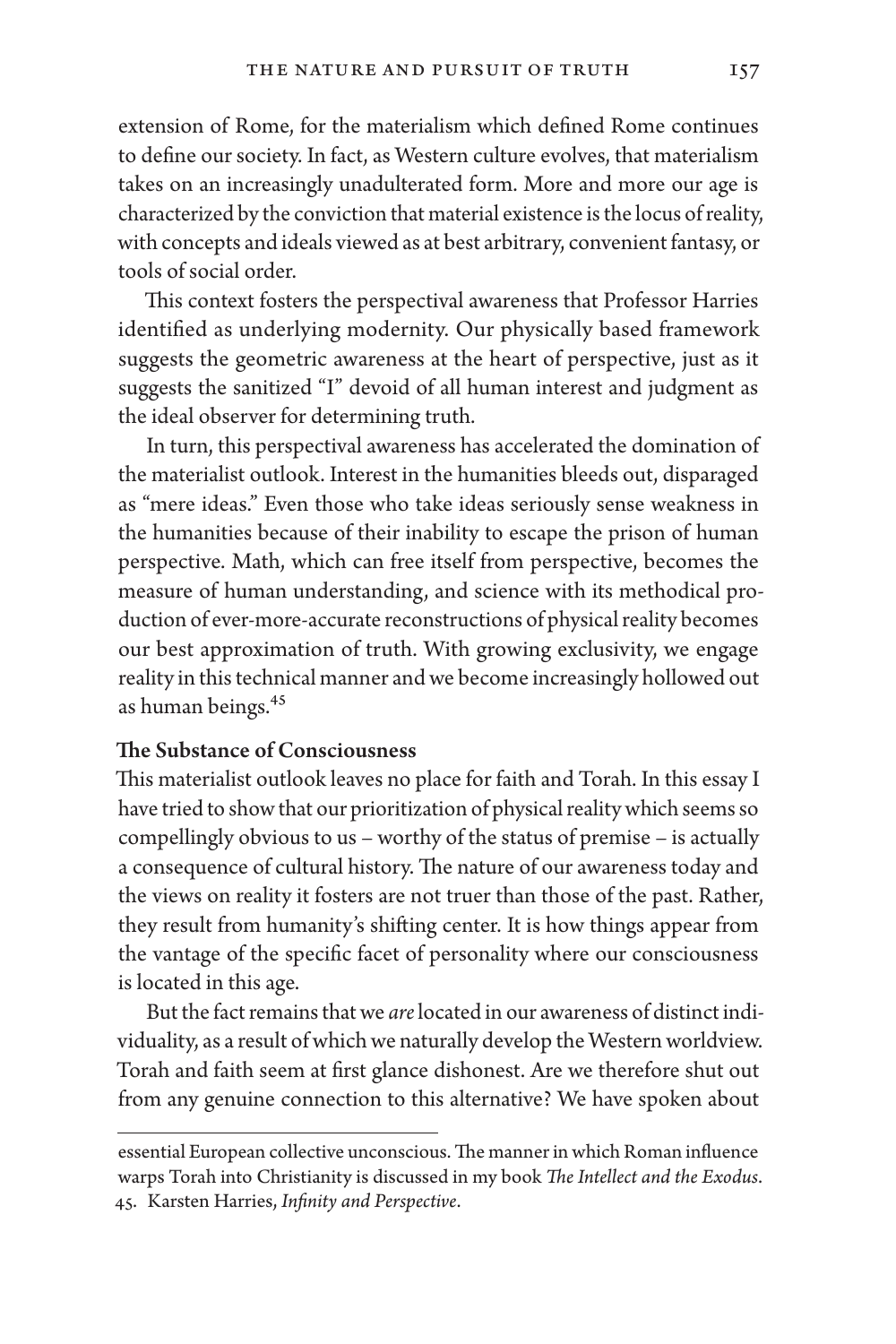extension of Rome, for the materialism which defined Rome continues to define our society. In fact, as Western culture evolves, that materialism takes on an increasingly unadulterated form. More and more our age is characterized by the conviction that material existence is the locus of reality, with concepts and ideals viewed as at best arbitrary, convenient fantasy, or tools of social order.

This context fosters the perspectival awareness that Professor Harries identified as underlying modernity. Our physically based framework suggests the geometric awareness at the heart of perspective, just as it suggests the sanitized "I" devoid of all human interest and judgment as the ideal observer for determining truth.

In turn, this perspectival awareness has accelerated the domination of the materialist outlook. Interest in the humanities bleeds out, disparaged as "mere ideas." Even those who take ideas seriously sense weakness in the humanities because of their inability to escape the prison of human perspective. Math, which can free itself from perspective, becomes the measure of human understanding, and science with its methodical production of ever-more-accurate reconstructions of physical reality becomes our best approximation of truth. With growing exclusivity, we engage reality in this technical manner and we become increasingly hollowed out as human beings.45

#### The Substance of Consciousness

This materialist outlook leaves no place for faith and Torah. In this essay I have tried to show that our prioritization of physical reality which seems so compellingly obvious to us – worthy of the status of premise – is actually a consequence of cultural history. The nature of our awareness today and the views on reality it fosters are not truer than those of the past. Rather, they result from humanity's shifting center. It is how things appear from the vantage of the specific facet of personality where our consciousness is located in this age.

But the fact remains that we *are* located in our awareness of distinct individuality, as a result of which we naturally develop the Western worldview. Torah and faith seem at first glance dishonest. Are we therefore shut out from any genuine connection to this alternative? We have spoken about

essential European collective unconscious. The manner in which Roman influence warps Torah into Christianity is discussed in my book *The Intellect and the Exodus*. 45. Karsten Harries, *Infinity and Perspective*.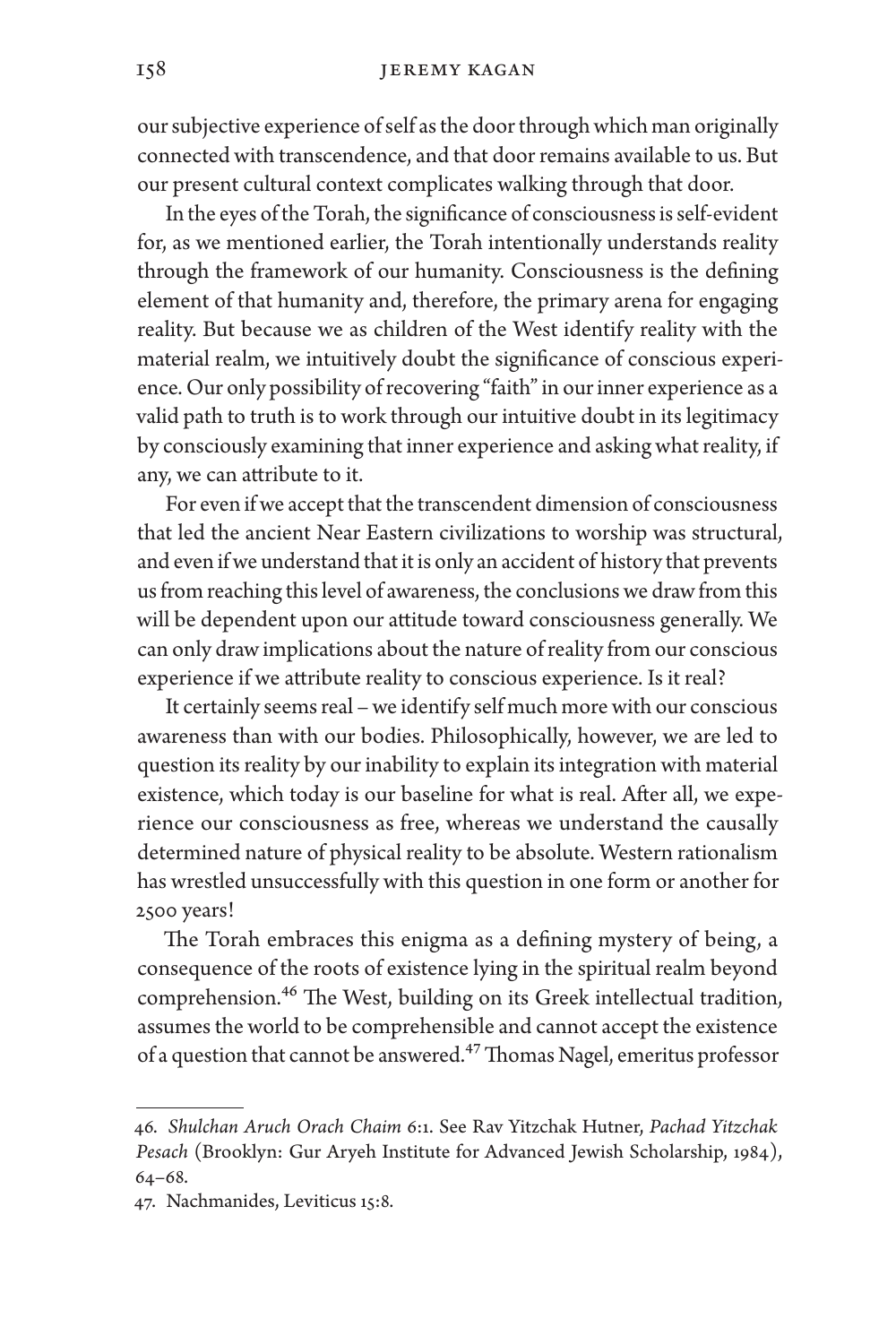our subjective experience of self as the door through which man originally connected with transcendence, and that door remains available to us. But our present cultural context complicates walking through that door.

In the eyes of the Torah, the significance of consciousness is self-evident for, as we mentioned earlier, the Torah intentionally understands reality through the framework of our humanity. Consciousness is the defining element of that humanity and, therefore, the primary arena for engaging reality. But because we as children of the West identify reality with the material realm, we intuitively doubt the significance of conscious experience. Our only possibility of recovering "faith" in our inner experience as a valid path to truth is to work through our intuitive doubt in its legitimacy by consciously examining that inner experience and asking what reality, if any, we can attribute to it.

For even if we accept that the transcendent dimension of consciousness that led the ancient Near Eastern civilizations to worship was structural, and even if we understand that it is only an accident of history that prevents us from reaching this level of awareness, the conclusions we draw from this will be dependent upon our attitude toward consciousness generally. We can only draw implications about the nature of reality from our conscious experience if we attribute reality to conscious experience. Is it real?

It certainly seems real – we identify self much more with our conscious awareness than with our bodies. Philosophically, however, we are led to question its reality by our inability to explain its integration with material existence, which today is our baseline for what is real. After all, we experience our consciousness as free, whereas we understand the causally determined nature of physical reality to be absolute. Western rationalism has wrestled unsuccessfully with this question in one form or another for 2500 years!

The Torah embraces this enigma as a defining mystery of being, a consequence of the roots of existence lying in the spiritual realm beyond comprehension.46 The West, building on its Greek intellectual tradition, assumes the world to be comprehensible and cannot accept the existence of a question that cannot be answered.<sup>47</sup> Thomas Nagel, emeritus professor

<sup>46.</sup> *Shulchan Aruch Orach Chaim* 6:1. See Rav Yitzchak Hutner, *Pachad Yitzchak Pesach* (Brooklyn: Gur Aryeh Institute for Advanced Jewish Scholarship, 1984), 64–68.

<sup>47.</sup> Nachmanides, Leviticus 15:8.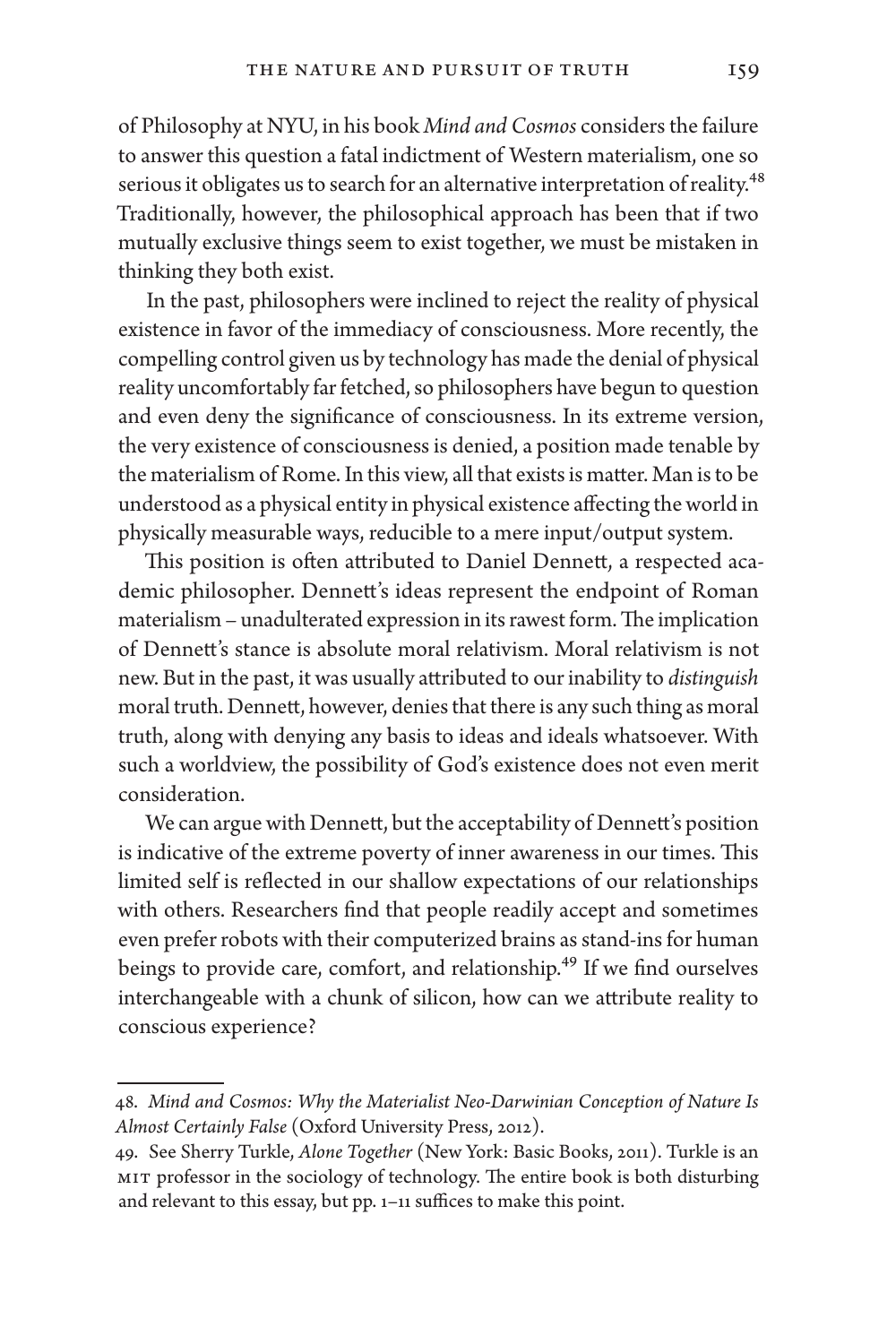of Philosophy at NYU, in his book *Mind and Cosmos* considers the failure to answer this question a fatal indictment of Western materialism, one so serious it obligates us to search for an alternative interpretation of reality.<sup>48</sup> Traditionally, however, the philosophical approach has been that if two mutually exclusive things seem to exist together, we must be mistaken in thinking they both exist.

In the past, philosophers were inclined to reject the reality of physical existence in favor of the immediacy of consciousness. More recently, the compelling control given us by technology has made the denial of physical reality uncomfortably far fetched, so philosophers have begun to question and even deny the significance of consciousness. In its extreme version, the very existence of consciousness is denied, a position made tenable by the materialism of Rome. In this view, all that exists is matter. Man is to be understood as a physical entity in physical existence affecting the world in physically measurable ways, reducible to a mere input/output system.

This position is often attributed to Daniel Dennett, a respected academic philosopher. Dennett's ideas represent the endpoint of Roman materialism – unadulterated expression in its rawest form. The implication of Dennett's stance is absolute moral relativism. Moral relativism is not new. But in the past, it was usually attributed to our inability to *distinguish* moral truth. Dennett, however, denies that there is any such thing as moral truth, along with denying any basis to ideas and ideals whatsoever. With such a worldview, the possibility of God's existence does not even merit consideration.

We can argue with Dennett, but the acceptability of Dennett's position is indicative of the extreme poverty of inner awareness in our times. This limited self is reflected in our shallow expectations of our relationships with others. Researchers find that people readily accept and sometimes even prefer robots with their computerized brains as stand-ins for human beings to provide care, comfort, and relationship.<sup>49</sup> If we find ourselves interchangeable with a chunk of silicon, how can we attribute reality to conscious experience?

<sup>48.</sup> *Mind and Cosmos: Why the Materialist Neo-Darwinian Conception of Nature Is Almost Certainly False* (Oxford University Press, 2012).

<sup>49.</sup> See Sherry Turkle, *Alone Together* (New York: Basic Books, 2011). Turkle is an MIT professor in the sociology of technology. The entire book is both disturbing and relevant to this essay, but pp. 1–11 suffices to make this point.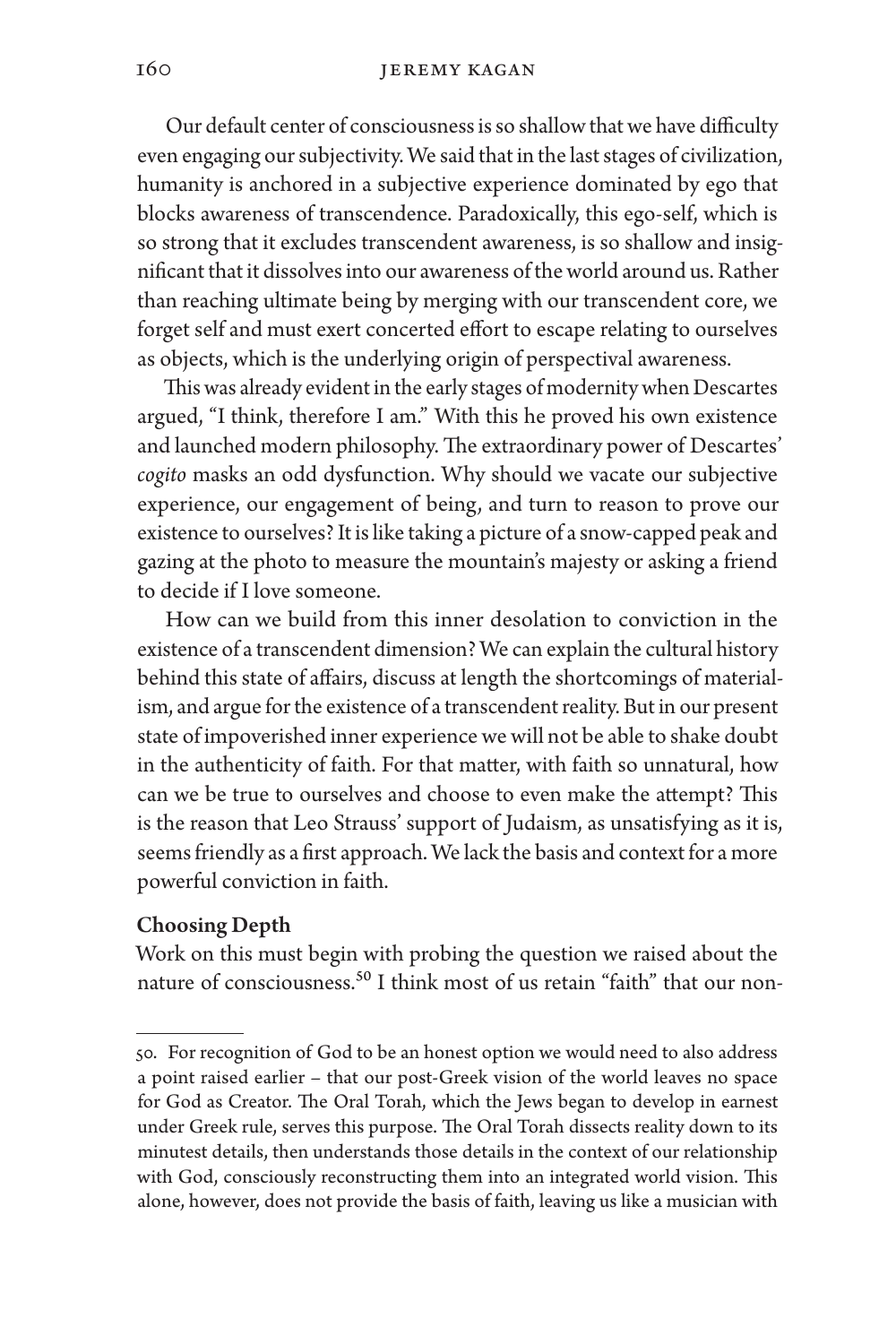Our default center of consciousness is so shallow that we have difficulty even engaging our subjectivity. We said that in the last stages of civilization, humanity is anchored in a subjective experience dominated by ego that blocks awareness of transcendence. Paradoxically, this ego-self, which is so strong that it excludes transcendent awareness, is so shallow and insignificant that it dissolves into our awareness of the world around us. Rather than reaching ultimate being by merging with our transcendent core, we forget self and must exert concerted effort to escape relating to ourselves as objects, which is the underlying origin of perspectival awareness.

This was already evident in the early stages of modernity when Descartes argued, "I think, therefore I am." With this he proved his own existence and launched modern philosophy. The extraordinary power of Descartes' *cogito* masks an odd dysfunction. Why should we vacate our subjective experience, our engagement of being, and turn to reason to prove our existence to ourselves? It is like taking a picture of a snow-capped peak and gazing at the photo to measure the mountain's majesty or asking a friend to decide if I love someone.

How can we build from this inner desolation to conviction in the existence of a transcendent dimension? We can explain the cultural history behind this state of affairs, discuss at length the shortcomings of materialism, and argue for the existence of a transcendent reality. But in our present state of impoverished inner experience we will not be able to shake doubt in the authenticity of faith. For that matter, with faith so unnatural, how can we be true to ourselves and choose to even make the attempt? This is the reason that Leo Strauss' support of Judaism, as unsatisfying as it is, seems friendly as a first approach. We lack the basis and context for a more powerful conviction in faith.

#### Choosing Depth

Work on this must begin with probing the question we raised about the nature of consciousness.<sup>50</sup> I think most of us retain "faith" that our non-

<sup>50.</sup> For recognition of God to be an honest option we would need to also address a point raised earlier – that our post-Greek vision of the world leaves no space for God as Creator. The Oral Torah, which the Jews began to develop in earnest under Greek rule, serves this purpose. The Oral Torah dissects reality down to its minutest details, then understands those details in the context of our relationship with God, consciously reconstructing them into an integrated world vision. This alone, however, does not provide the basis of faith, leaving us like a musician with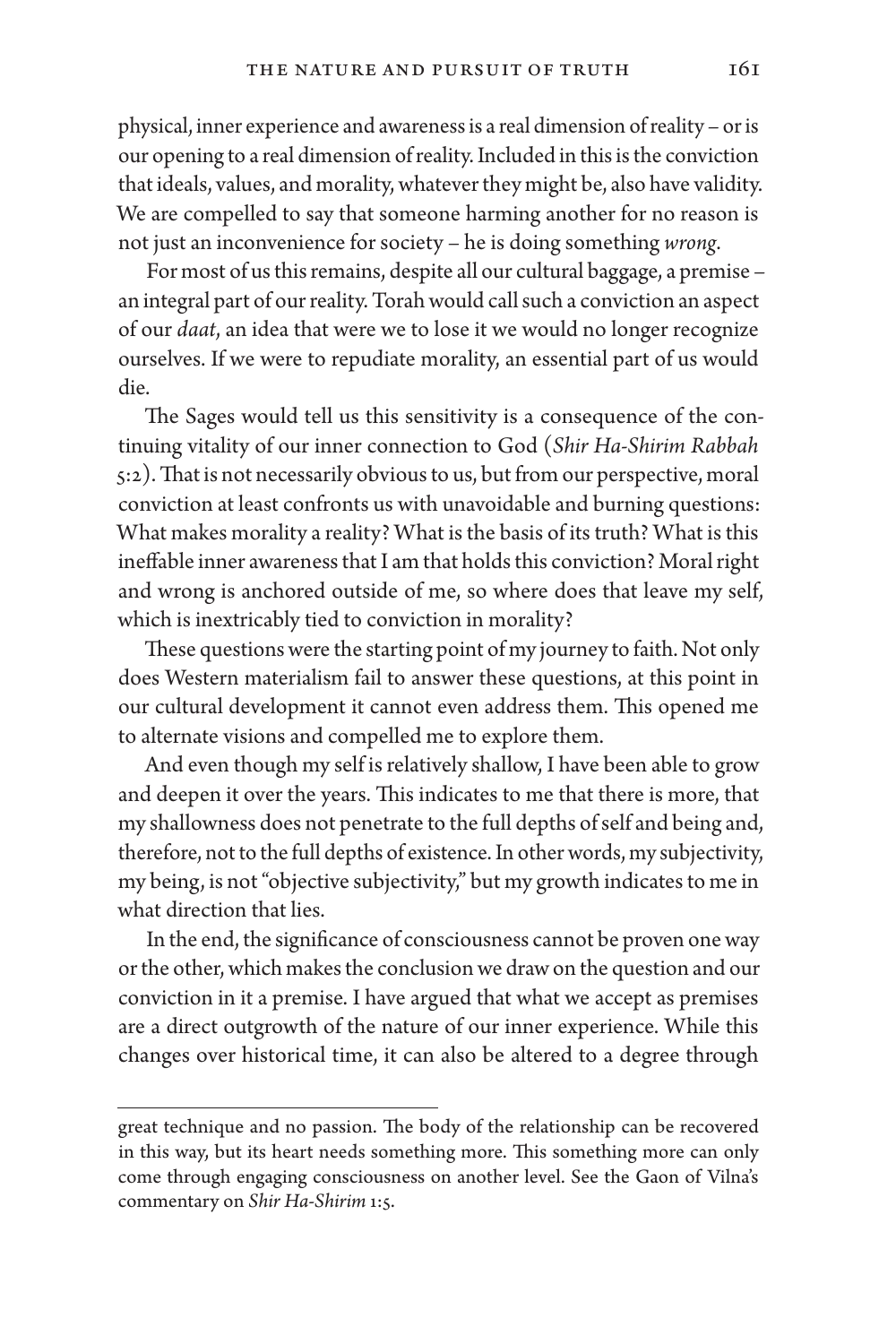physical, inner experience and awareness is a real dimension of reality – or is our opening to a real dimension of reality. Included in this is the conviction that ideals, values, and morality, whatever they might be, also have validity. We are compelled to say that someone harming another for no reason is not just an inconvenience for society – he is doing something *wrong*.

For most of us this remains, despite all our cultural baggage, a premise – an integral part of our reality. Torah would call such a conviction an aspect of our *daat*, an idea that were we to lose it we would no longer recognize ourselves. If we were to repudiate morality, an essential part of us would die.

The Sages would tell us this sensitivity is a consequence of the continuing vitality of our inner connection to God (*Shir Ha-Shirim Rabbah* 5:2). That is not necessarily obvious to us, but from our perspective, moral conviction at least confronts us with unavoidable and burning questions: What makes morality a reality? What is the basis of its truth? What is this ineffable inner awareness that I am that holds this conviction? Moral right and wrong is anchored outside of me, so where does that leave my self, which is inextricably tied to conviction in morality?

These questions were the starting point of my journey to faith. Not only does Western materialism fail to answer these questions, at this point in our cultural development it cannot even address them. This opened me to alternate visions and compelled me to explore them.

And even though my self is relatively shallow, I have been able to grow and deepen it over the years. This indicates to me that there is more, that my shallowness does not penetrate to the full depths of self and being and, therefore, not to the full depths of existence. In other words, my subjectivity, my being, is not "objective subjectivity," but my growth indicates to me in what direction that lies.

In the end, the significance of consciousness cannot be proven one way or the other, which makes the conclusion we draw on the question and our conviction in it a premise. I have argued that what we accept as premises are a direct outgrowth of the nature of our inner experience. While this changes over historical time, it can also be altered to a degree through

great technique and no passion. The body of the relationship can be recovered in this way, but its heart needs something more. This something more can only come through engaging consciousness on another level. See the Gaon of Vilna's commentary on *Shir Ha-Shirim* 1:5.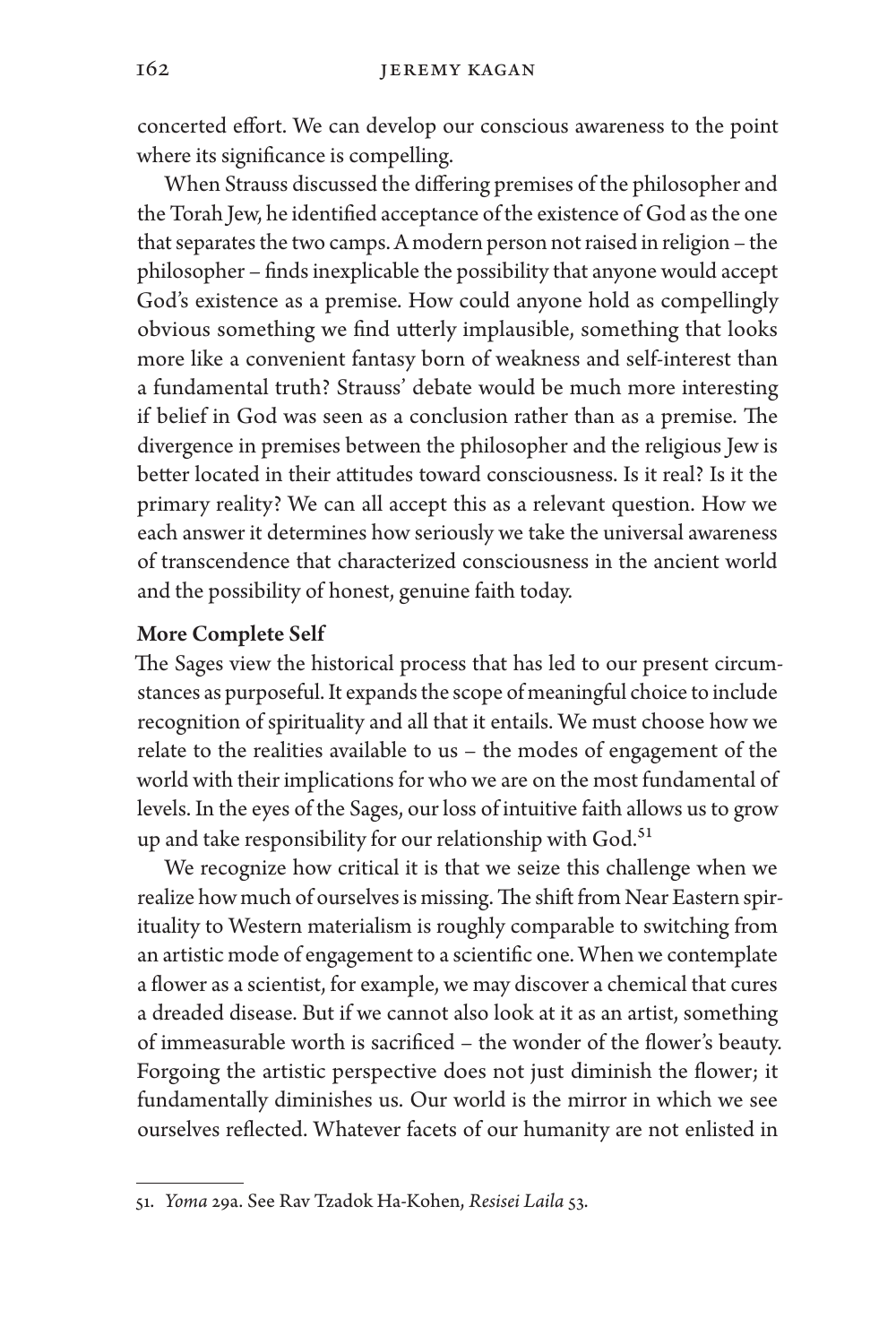concerted effort. We can develop our conscious awareness to the point where its significance is compelling.

When Strauss discussed the differing premises of the philosopher and the Torah Jew, he identified acceptance of the existence of God as the one that separates the two camps. A modern person not raised in religion – the philosopher – finds inexplicable the possibility that anyone would accept God's existence as a premise. How could anyone hold as compellingly obvious something we find utterly implausible, something that looks more like a convenient fantasy born of weakness and self-interest than a fundamental truth? Strauss' debate would be much more interesting if belief in God was seen as a conclusion rather than as a premise. The divergence in premises between the philosopher and the religious Jew is better located in their attitudes toward consciousness. Is it real? Is it the primary reality? We can all accept this as a relevant question. How we each answer it determines how seriously we take the universal awareness of transcendence that characterized consciousness in the ancient world and the possibility of honest, genuine faith today.

#### More Complete Self

The Sages view the historical process that has led to our present circumstances as purposeful. It expands the scope of meaningful choice to include recognition of spirituality and all that it entails. We must choose how we relate to the realities available to us – the modes of engagement of the world with their implications for who we are on the most fundamental of levels. In the eyes of the Sages, our loss of intuitive faith allows us to grow up and take responsibility for our relationship with God.<sup>51</sup>

We recognize how critical it is that we seize this challenge when we realize how much of ourselves is missing. The shift from Near Eastern spirituality to Western materialism is roughly comparable to switching from an artistic mode of engagement to a scientific one. When we contemplate a flower as a scientist, for example, we may discover a chemical that cures a dreaded disease. But if we cannot also look at it as an artist, something of immeasurable worth is sacrificed – the wonder of the flower's beauty. Forgoing the artistic perspective does not just diminish the flower; it fundamentally diminishes us. Our world is the mirror in which we see ourselves reflected. Whatever facets of our humanity are not enlisted in

<sup>51.</sup> *Yoma* 29a. See Rav Tzadok Ha-Kohen, *Resisei Laila* 53.